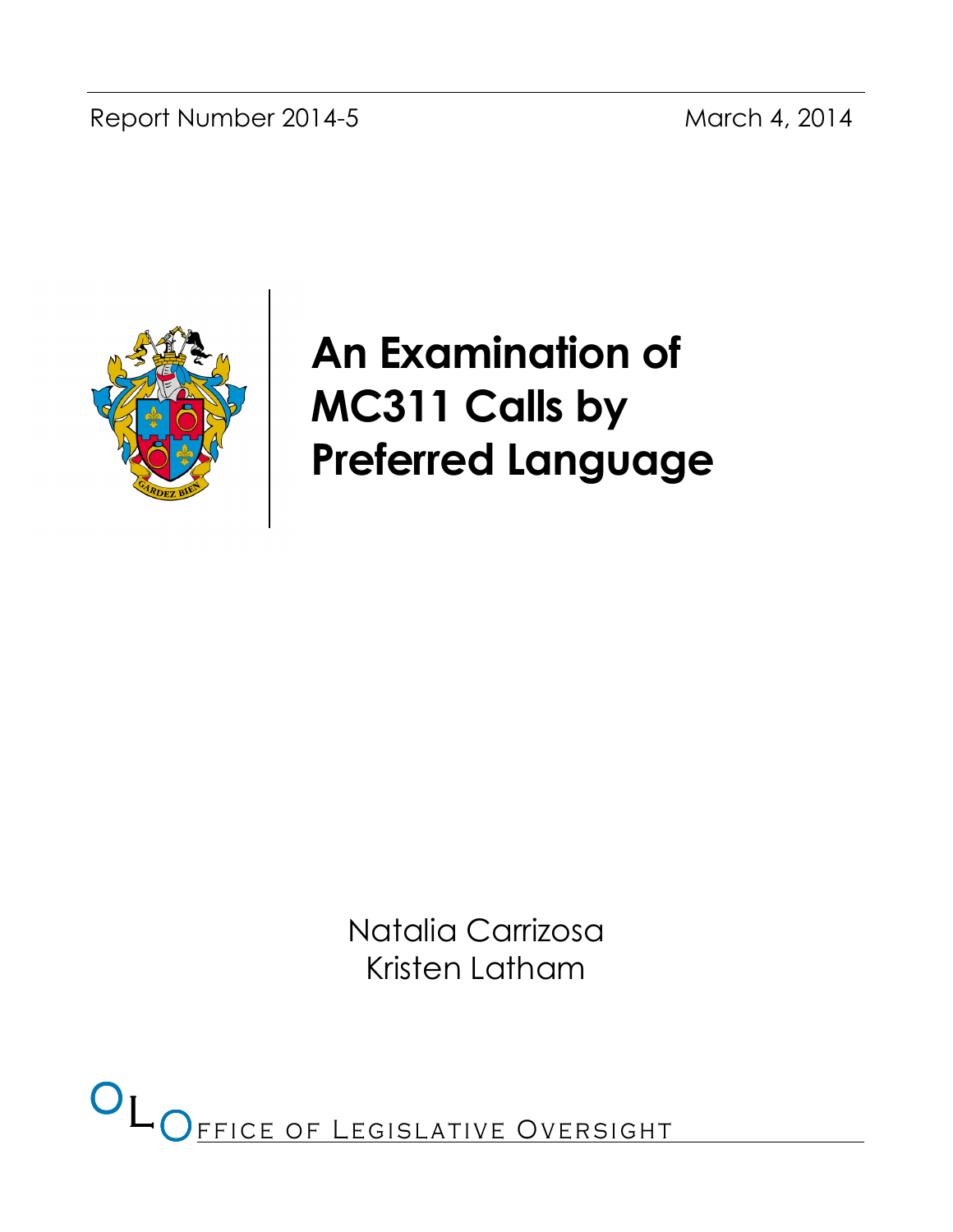Report Number 2014-5 March 4, 2014



# An Examination of MC311 Calls by Preferred Language

Natalia Carrizosa Kristen Latham

OL OFFICE OF LEGISLATIVE OVERSIGHT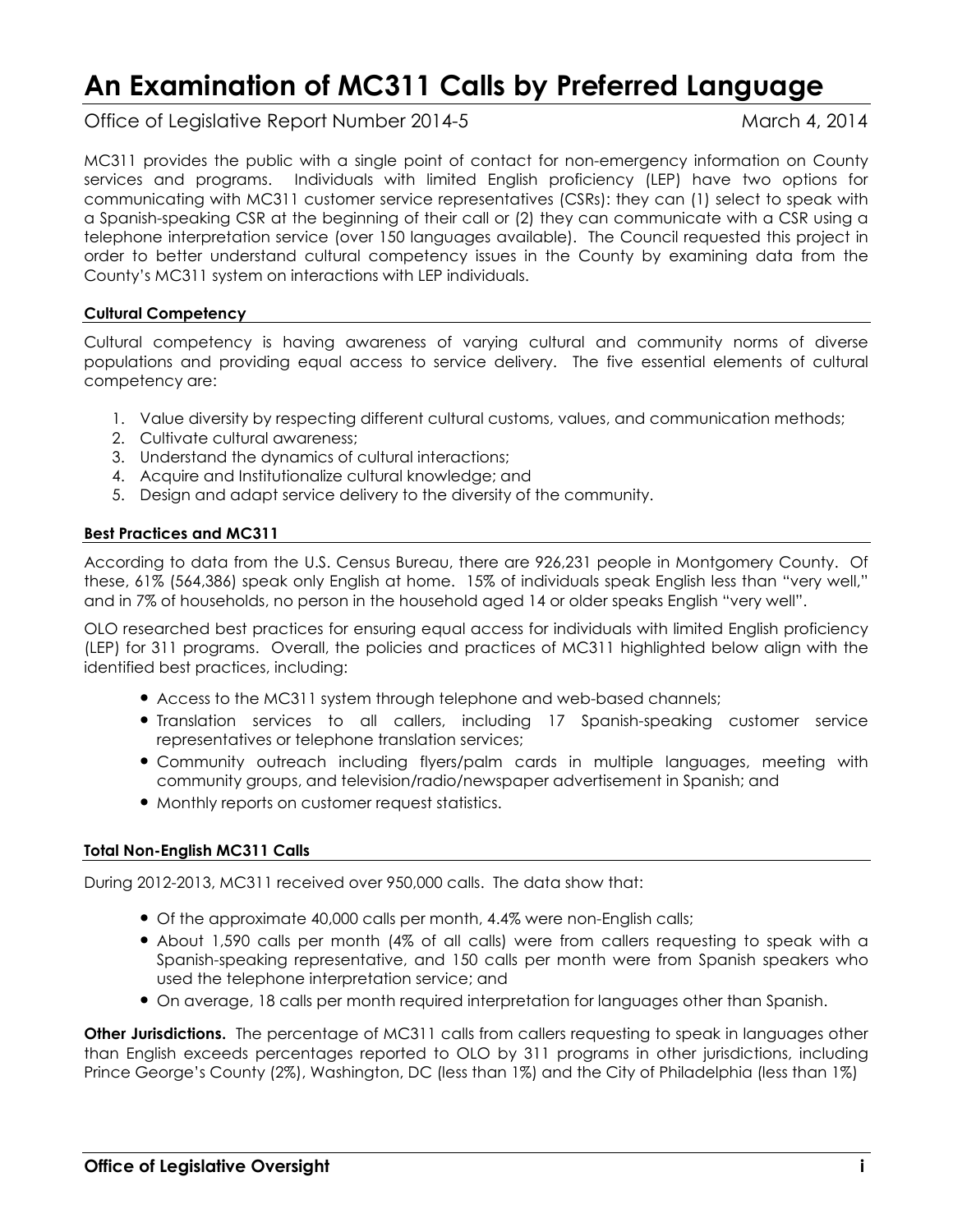## An Examination of MC311 Calls by Preferred Language

Office of Legislative Report Number 2014-5 March 4, 2014

MC311 provides the public with a single point of contact for non-emergency information on County services and programs. Individuals with limited English proficiency (LEP) have two options for communicating with MC311 customer service representatives (CSRs): they can (1) select to speak with a Spanish-speaking CSR at the beginning of their call or (2) they can communicate with a CSR using a telephone interpretation service (over 150 languages available). The Council requested this project in order to better understand cultural competency issues in the County by examining data from the County's MC311 system on interactions with LEP individuals.

#### Cultural Competency

Cultural competency is having awareness of varying cultural and community norms of diverse populations and providing equal access to service delivery. The five essential elements of cultural competency are:

- 1. Value diversity by respecting different cultural customs, values, and communication methods;
- 2. Cultivate cultural awareness;
- 3. Understand the dynamics of cultural interactions;
- 4. Acquire and Institutionalize cultural knowledge; and
- 5. Design and adapt service delivery to the diversity of the community.

#### Best Practices and MC311

According to data from the U.S. Census Bureau, there are 926,231 people in Montgomery County. Of these, 61% (564,386) speak only English at home. 15% of individuals speak English less than "very well," and in 7% of households, no person in the household aged 14 or older speaks English "very well".

OLO researched best practices for ensuring equal access for individuals with limited English proficiency (LEP) for 311 programs. Overall, the policies and practices of MC311 highlighted below align with the identified best practices, including:

- Access to the MC311 system through telephone and web-based channels;
- Translation services to all callers, including 17 Spanish-speaking customer service representatives or telephone translation services;
- Community outreach including flyers/palm cards in multiple languages, meeting with community groups, and television/radio/newspaper advertisement in Spanish; and
- Monthly reports on customer request statistics.

#### Total Non-English MC311 Calls

During 2012-2013, MC311 received over 950,000 calls. The data show that:

- Of the approximate 40,000 calls per month, 4.4% were non-English calls;
- About 1,590 calls per month (4% of all calls) were from callers requesting to speak with a Spanish-speaking representative, and 150 calls per month were from Spanish speakers who used the telephone interpretation service; and
- On average, 18 calls per month required interpretation for languages other than Spanish.

Other Jurisdictions. The percentage of MC311 calls from callers requesting to speak in languages other than English exceeds percentages reported to OLO by 311 programs in other jurisdictions, including Prince George's County (2%), Washington, DC (less than 1%) and the City of Philadelphia (less than 1%)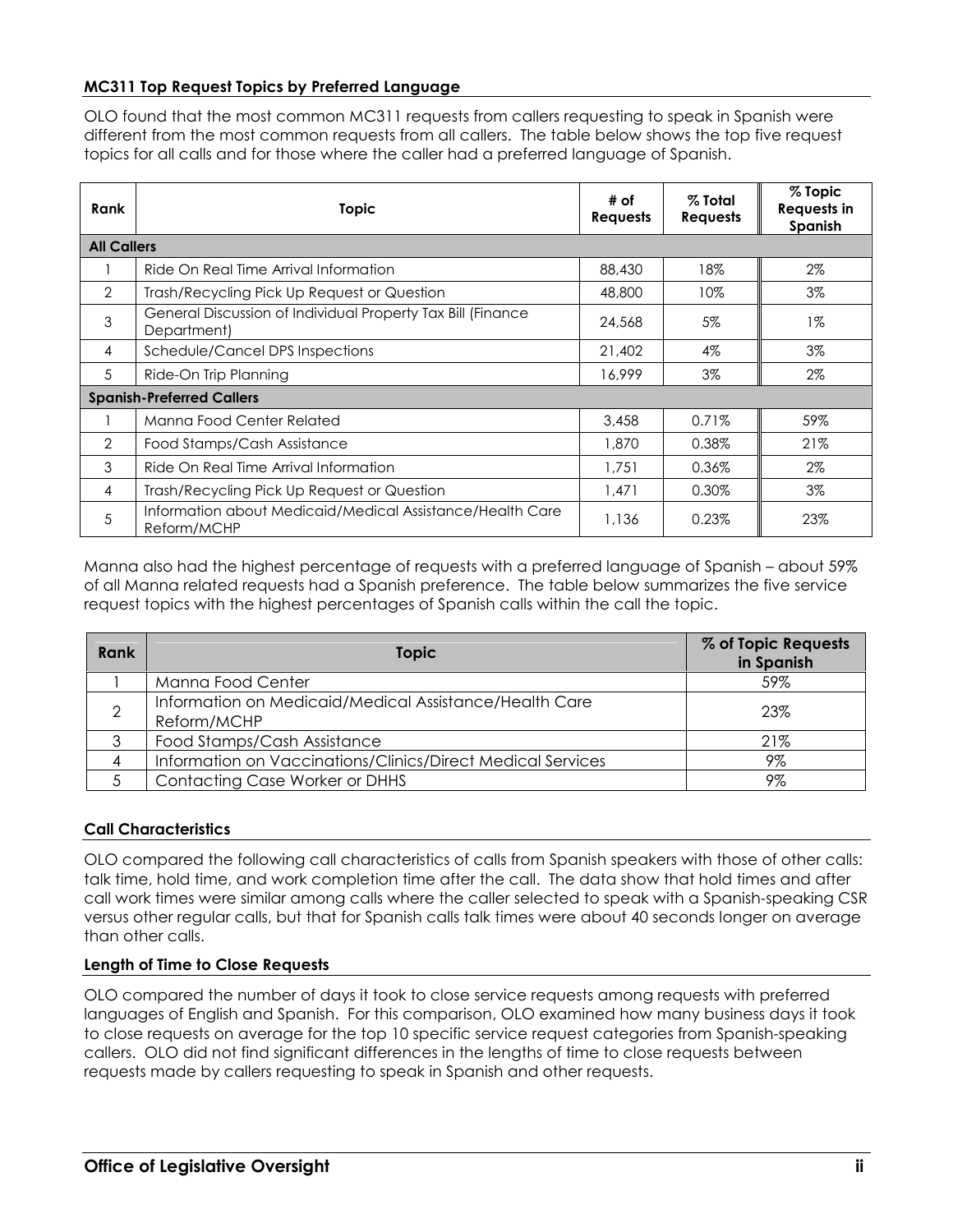#### MC311 Top Request Topics by Preferred Language

OLO found that the most common MC311 requests from callers requesting to speak in Spanish were different from the most common requests from all callers. The table below shows the top five request topics for all calls and for those where the caller had a preferred language of Spanish.

| Rank               | <b>Topic</b>                                                               | # of<br><b>Requests</b> | $%$ Total<br><b>Requests</b> | % Topic<br><b>Requests in</b><br>Spanish |
|--------------------|----------------------------------------------------------------------------|-------------------------|------------------------------|------------------------------------------|
| <b>All Callers</b> |                                                                            |                         |                              |                                          |
|                    | Ride On Real Time Arrival Information                                      | 88,430                  | 18%                          | 2%                                       |
| $\overline{2}$     | Trash/Recycling Pick Up Request or Question                                | 48,800                  | 10%                          | $3\%$                                    |
| 3                  | General Discussion of Individual Property Tax Bill (Finance<br>Department) | 24,568                  | 5%                           | $1\%$                                    |
| 4                  | Schedule/Cancel DPS Inspections                                            | 21,402                  | $4\%$                        | $3\%$                                    |
| 5                  | Ride-On Trip Planning                                                      | 16,999                  | $3\%$                        | 2%                                       |
|                    | <b>Spanish-Preferred Callers</b>                                           |                         |                              |                                          |
|                    | Manna Food Center Related                                                  | 3,458                   | 0.71%                        | 59%                                      |
| $\mathcal{P}$      | Food Stamps/Cash Assistance                                                | 1,870                   | 0.38%                        | 21%                                      |
| 3                  | Ride On Real Time Arrival Information                                      | 1,751                   | 0.36%                        | 2%                                       |
| 4                  | Trash/Recycling Pick Up Request or Question                                | 1,471                   | 0.30%                        | 3%                                       |
| 5                  | Information about Medicaid/Medical Assistance/Health Care<br>Reform/MCHP   | 1,136                   | 0.23%                        | 23%                                      |

Manna also had the highest percentage of requests with a preferred language of Spanish – about 59% of all Manna related requests had a Spanish preference. The table below summarizes the five service request topics with the highest percentages of Spanish calls within the call the topic.

| Rank | <b>Topic</b>                                                          | % of Topic Requests<br>in Spanish |
|------|-----------------------------------------------------------------------|-----------------------------------|
|      | Manna Food Center                                                     | 59%                               |
| 2    | Information on Medicaid/Medical Assistance/Health Care<br>Reform/MCHP | 23%                               |
|      | Food Stamps/Cash Assistance                                           | 21%                               |
|      | Information on Vaccinations/Clinics/Direct Medical Services           | 9%                                |
|      | <b>Contacting Case Worker or DHHS</b>                                 | 9%                                |

#### Call Characteristics

OLO compared the following call characteristics of calls from Spanish speakers with those of other calls: talk time, hold time, and work completion time after the call. The data show that hold times and after call work times were similar among calls where the caller selected to speak with a Spanish-speaking CSR versus other regular calls, but that for Spanish calls talk times were about 40 seconds longer on average than other calls.

#### Length of Time to Close Requests

OLO compared the number of days it took to close service requests among requests with preferred languages of English and Spanish. For this comparison, OLO examined how many business days it took to close requests on average for the top 10 specific service request categories from Spanish-speaking callers. OLO did not find significant differences in the lengths of time to close requests between requests made by callers requesting to speak in Spanish and other requests.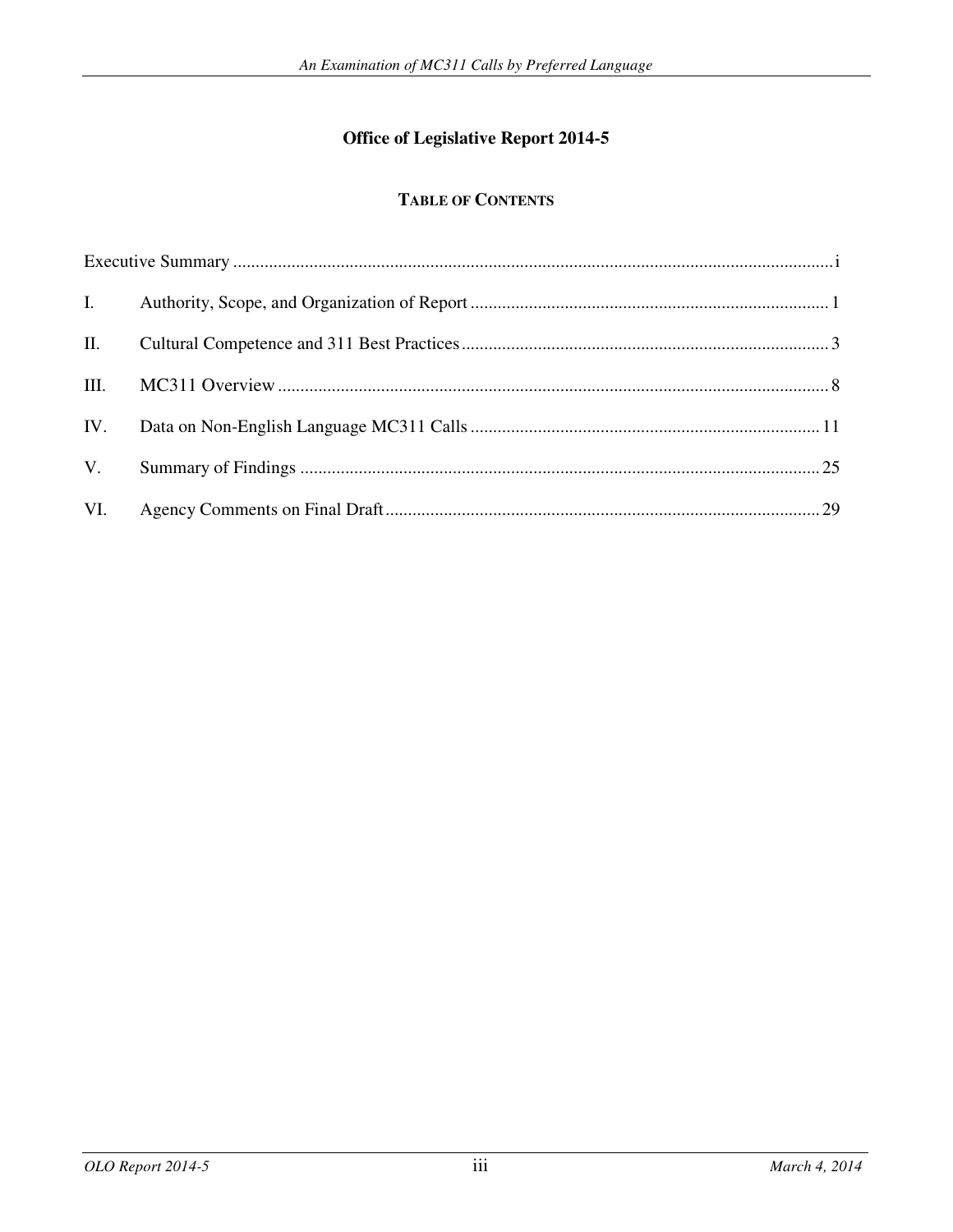## **Office of Legislative Report 2014-5**

## **TABLE OF CONTENTS**

| $\mathbf{I}$ . |  |
|----------------|--|
| П.             |  |
| Ш.             |  |
| IV.            |  |
| V.             |  |
| VI.            |  |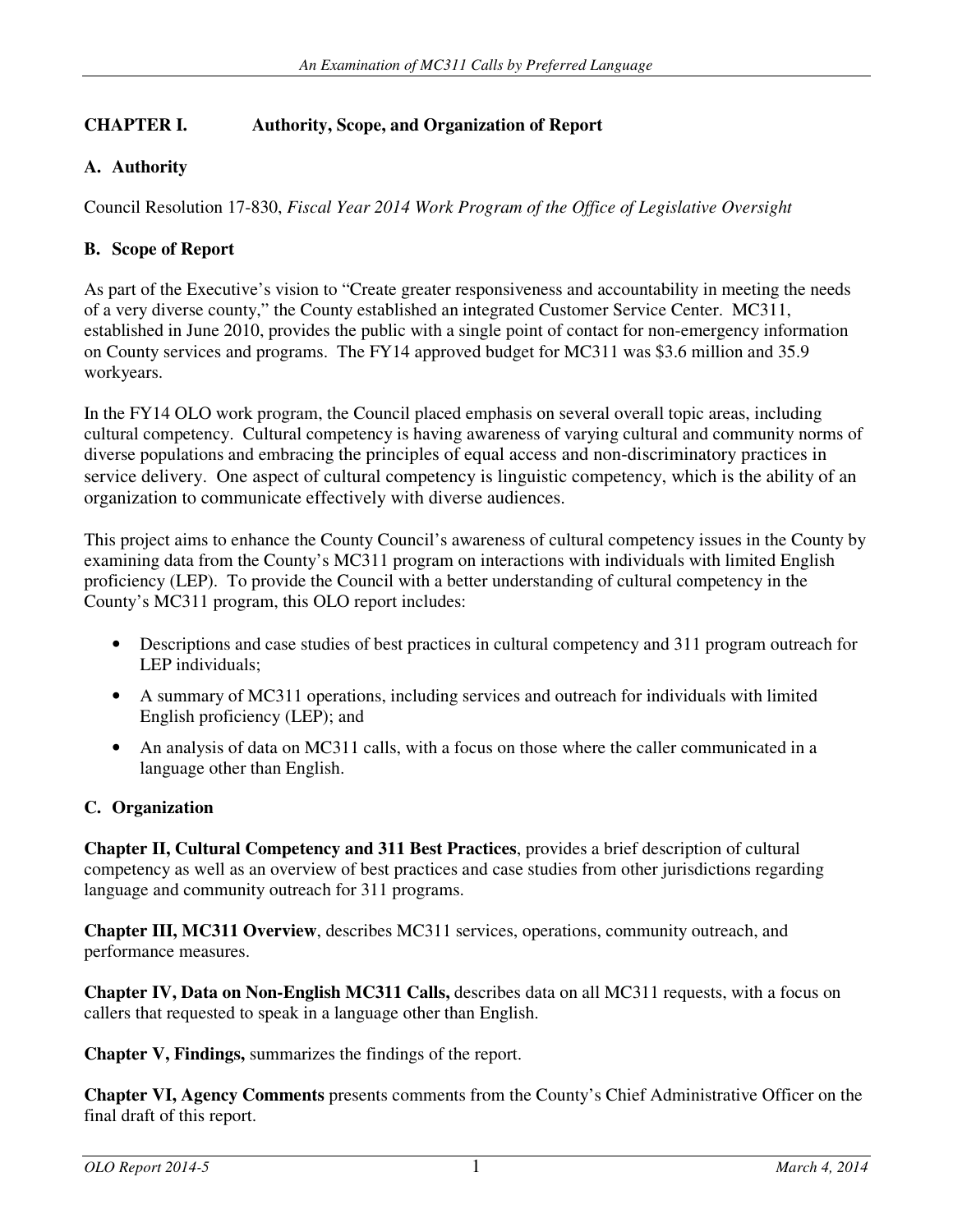## **CHAPTER I. Authority, Scope, and Organization of Report**

## **A. Authority**

Council Resolution 17-830, *Fiscal Year 2014 Work Program of the Office of Legislative Oversight*

## **B. Scope of Report**

As part of the Executive's vision to "Create greater responsiveness and accountability in meeting the needs of a very diverse county," the County established an integrated Customer Service Center. MC311, established in June 2010, provides the public with a single point of contact for non-emergency information on County services and programs. The FY14 approved budget for MC311 was \$3.6 million and 35.9 workyears.

In the FY14 OLO work program, the Council placed emphasis on several overall topic areas, including cultural competency. Cultural competency is having awareness of varying cultural and community norms of diverse populations and embracing the principles of equal access and non-discriminatory practices in service delivery. One aspect of cultural competency is linguistic competency, which is the ability of an organization to communicate effectively with diverse audiences.

This project aims to enhance the County Council's awareness of cultural competency issues in the County by examining data from the County's MC311 program on interactions with individuals with limited English proficiency (LEP). To provide the Council with a better understanding of cultural competency in the County's MC311 program, this OLO report includes:

- Descriptions and case studies of best practices in cultural competency and 311 program outreach for LEP individuals;
- A summary of MC311 operations, including services and outreach for individuals with limited English proficiency (LEP); and
- An analysis of data on MC311 calls, with a focus on those where the caller communicated in a language other than English.

## **C. Organization**

**Chapter II, Cultural Competency and 311 Best Practices**, provides a brief description of cultural competency as well as an overview of best practices and case studies from other jurisdictions regarding language and community outreach for 311 programs.

**Chapter III, MC311 Overview**, describes MC311 services, operations, community outreach, and performance measures.

**Chapter IV, Data on Non-English MC311 Calls,** describes data on all MC311 requests, with a focus on callers that requested to speak in a language other than English.

**Chapter V, Findings,** summarizes the findings of the report.

**Chapter VI, Agency Comments** presents comments from the County's Chief Administrative Officer on the final draft of this report.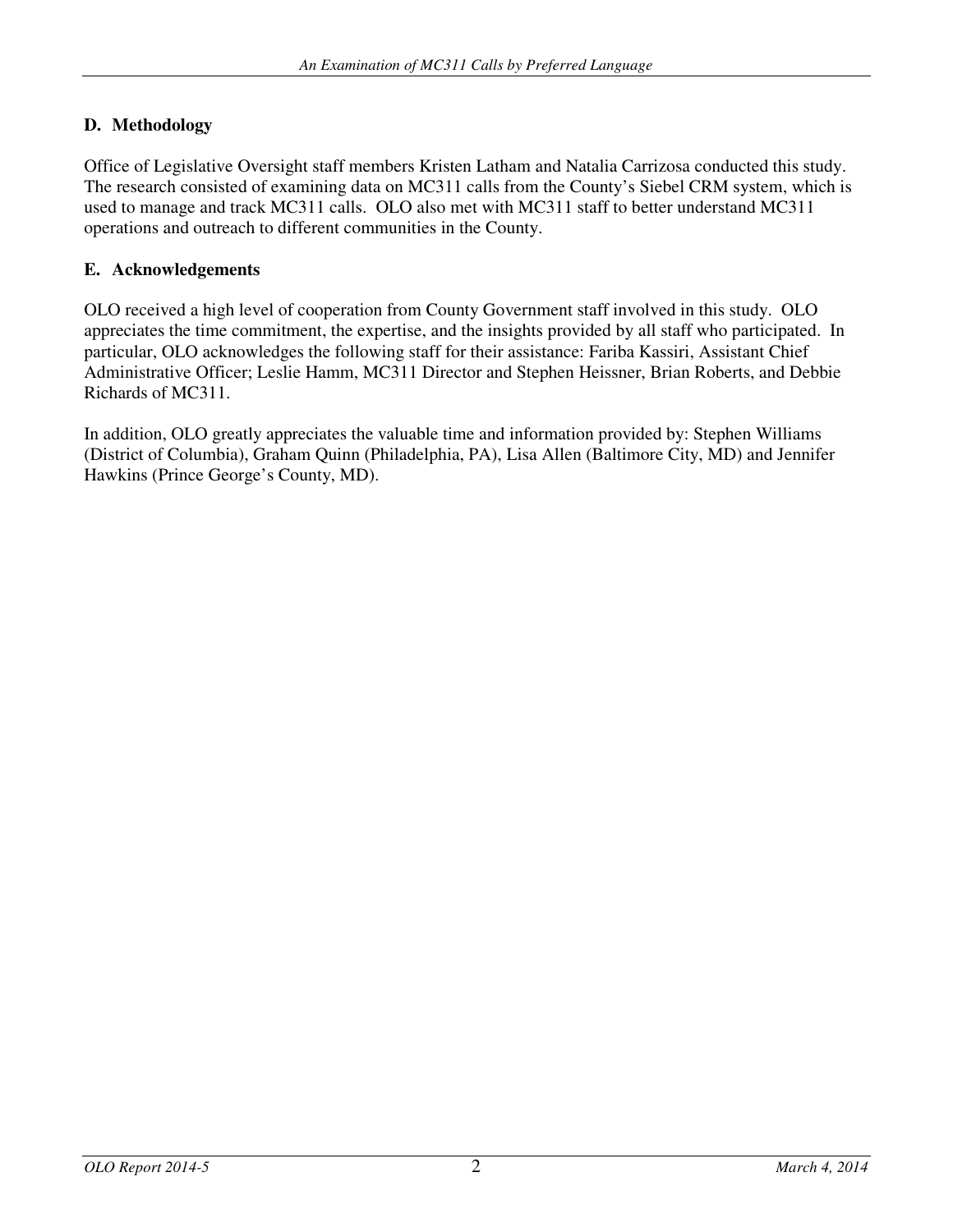## **D. Methodology**

Office of Legislative Oversight staff members Kristen Latham and Natalia Carrizosa conducted this study. The research consisted of examining data on MC311 calls from the County's Siebel CRM system, which is used to manage and track MC311 calls. OLO also met with MC311 staff to better understand MC311 operations and outreach to different communities in the County.

### **E. Acknowledgements**

OLO received a high level of cooperation from County Government staff involved in this study. OLO appreciates the time commitment, the expertise, and the insights provided by all staff who participated. In particular, OLO acknowledges the following staff for their assistance: Fariba Kassiri, Assistant Chief Administrative Officer; Leslie Hamm, MC311 Director and Stephen Heissner, Brian Roberts, and Debbie Richards of MC311.

In addition, OLO greatly appreciates the valuable time and information provided by: Stephen Williams (District of Columbia), Graham Quinn (Philadelphia, PA), Lisa Allen (Baltimore City, MD) and Jennifer Hawkins (Prince George's County, MD).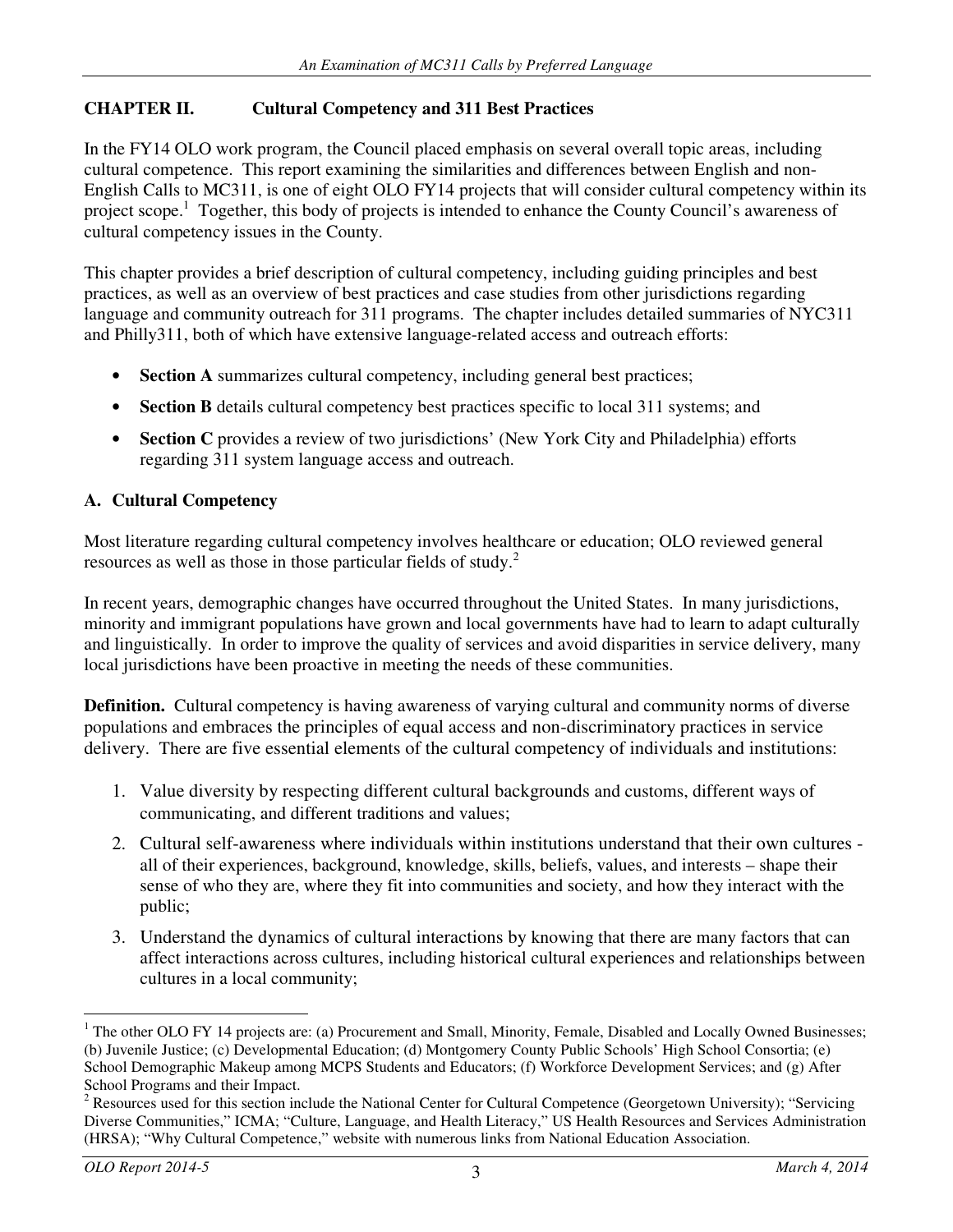## **CHAPTER II. Cultural Competency and 311 Best Practices**

In the FY14 OLO work program, the Council placed emphasis on several overall topic areas, including cultural competence. This report examining the similarities and differences between English and non-English Calls to MC311, is one of eight OLO FY14 projects that will consider cultural competency within its project scope.<sup>1</sup> Together, this body of projects is intended to enhance the County Council's awareness of cultural competency issues in the County.

This chapter provides a brief description of cultural competency, including guiding principles and best practices, as well as an overview of best practices and case studies from other jurisdictions regarding language and community outreach for 311 programs. The chapter includes detailed summaries of NYC311 and Philly311, both of which have extensive language-related access and outreach efforts:

- **Section A** summarizes cultural competency, including general best practices;
- **Section B** details cultural competency best practices specific to local 311 systems; and
- **Section C** provides a review of two jurisdictions' (New York City and Philadelphia) efforts regarding 311 system language access and outreach.

## **A. Cultural Competency**

Most literature regarding cultural competency involves healthcare or education; OLO reviewed general resources as well as those in those particular fields of study.<sup>2</sup>

In recent years, demographic changes have occurred throughout the United States. In many jurisdictions, minority and immigrant populations have grown and local governments have had to learn to adapt culturally and linguistically. In order to improve the quality of services and avoid disparities in service delivery, many local jurisdictions have been proactive in meeting the needs of these communities.

**Definition.** Cultural competency is having awareness of varying cultural and community norms of diverse populations and embraces the principles of equal access and non-discriminatory practices in service delivery. There are five essential elements of the cultural competency of individuals and institutions:

- 1. Value diversity by respecting different cultural backgrounds and customs, different ways of communicating, and different traditions and values;
- 2. Cultural self-awareness where individuals within institutions understand that their own cultures all of their experiences, background, knowledge, skills, beliefs, values, and interests – shape their sense of who they are, where they fit into communities and society, and how they interact with the public;
- 3. Understand the dynamics of cultural interactions by knowing that there are many factors that can affect interactions across cultures, including historical cultural experiences and relationships between cultures in a local community;

l

<sup>&</sup>lt;sup>1</sup> The other OLO FY 14 projects are: (a) Procurement and Small, Minority, Female, Disabled and Locally Owned Businesses; (b) Juvenile Justice; (c) Developmental Education; (d) Montgomery County Public Schools' High School Consortia; (e) School Demographic Makeup among MCPS Students and Educators; (f) Workforce Development Services; and (g) After School Programs and their Impact.

 $2$  Resources used for this section include the National Center for Cultural Competence (Georgetown University); "Servicing Diverse Communities," ICMA; "Culture, Language, and Health Literacy," US Health Resources and Services Administration (HRSA); "Why Cultural Competence," website with numerous links from National Education Association.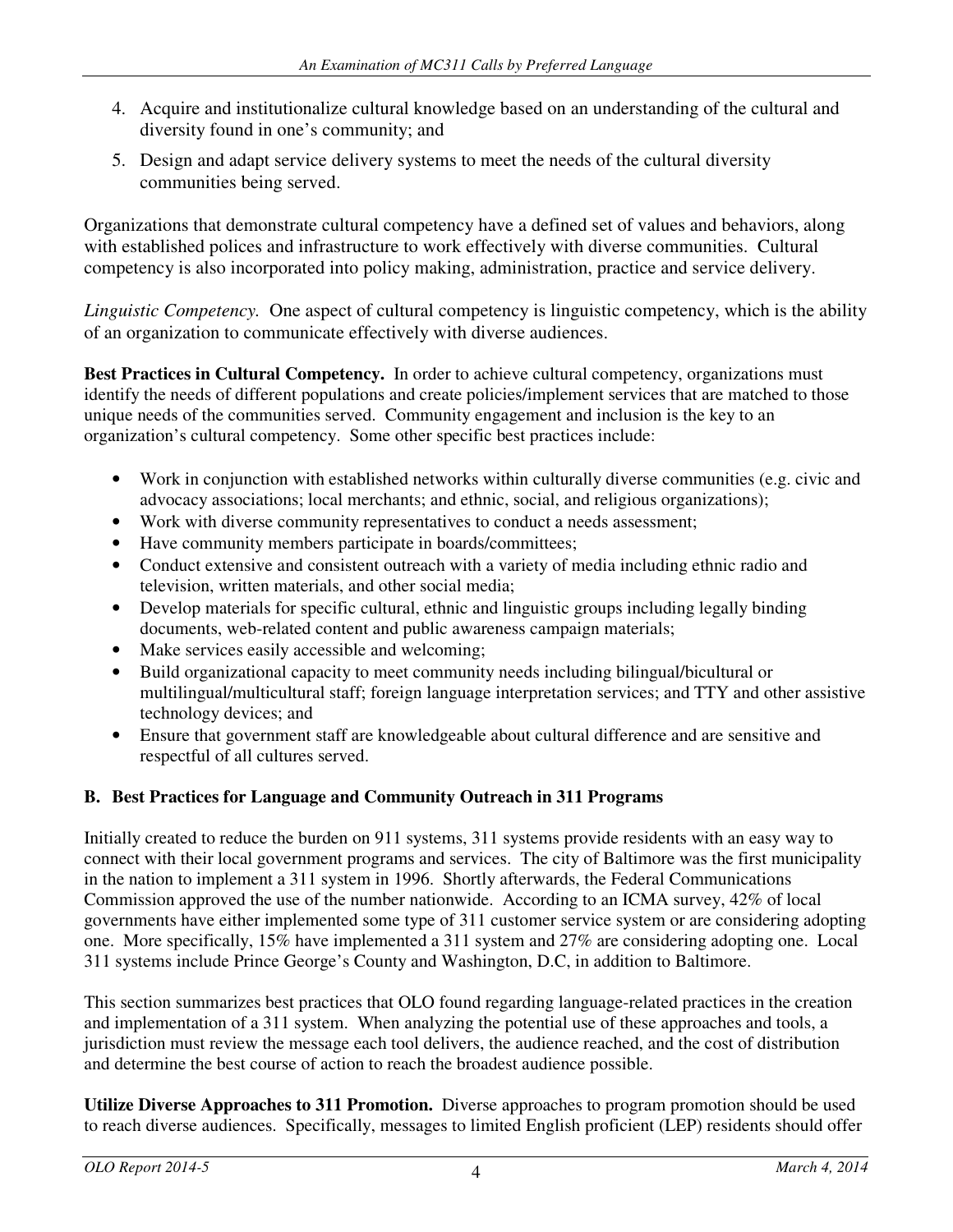- 4. Acquire and institutionalize cultural knowledge based on an understanding of the cultural and diversity found in one's community; and
- 5. Design and adapt service delivery systems to meet the needs of the cultural diversity communities being served.

Organizations that demonstrate cultural competency have a defined set of values and behaviors, along with established polices and infrastructure to work effectively with diverse communities. Cultural competency is also incorporated into policy making, administration, practice and service delivery.

*Linguistic Competency.* One aspect of cultural competency is linguistic competency, which is the ability of an organization to communicate effectively with diverse audiences.

**Best Practices in Cultural Competency.** In order to achieve cultural competency, organizations must identify the needs of different populations and create policies/implement services that are matched to those unique needs of the communities served. Community engagement and inclusion is the key to an organization's cultural competency. Some other specific best practices include:

- Work in conjunction with established networks within culturally diverse communities (e.g. civic and advocacy associations; local merchants; and ethnic, social, and religious organizations);
- Work with diverse community representatives to conduct a needs assessment;
- Have community members participate in boards/committees;
- Conduct extensive and consistent outreach with a variety of media including ethnic radio and television, written materials, and other social media;
- Develop materials for specific cultural, ethnic and linguistic groups including legally binding documents, web-related content and public awareness campaign materials;
- Make services easily accessible and welcoming;
- Build organizational capacity to meet community needs including bilingual/bicultural or multilingual/multicultural staff; foreign language interpretation services; and TTY and other assistive technology devices; and
- Ensure that government staff are knowledgeable about cultural difference and are sensitive and respectful of all cultures served.

## **B. Best Practices for Language and Community Outreach in 311 Programs**

Initially created to reduce the burden on 911 systems, 311 systems provide residents with an easy way to connect with their local government programs and services. The city of Baltimore was the first municipality in the nation to implement a 311 system in 1996. Shortly afterwards, the Federal Communications Commission approved the use of the number nationwide. According to an ICMA survey, 42% of local governments have either implemented some type of 311 customer service system or are considering adopting one. More specifically, 15% have implemented a 311 system and 27% are considering adopting one. Local 311 systems include Prince George's County and Washington, D.C, in addition to Baltimore.

This section summarizes best practices that OLO found regarding language-related practices in the creation and implementation of a 311 system. When analyzing the potential use of these approaches and tools, a jurisdiction must review the message each tool delivers, the audience reached, and the cost of distribution and determine the best course of action to reach the broadest audience possible.

**Utilize Diverse Approaches to 311 Promotion.** Diverse approaches to program promotion should be used to reach diverse audiences. Specifically, messages to limited English proficient (LEP) residents should offer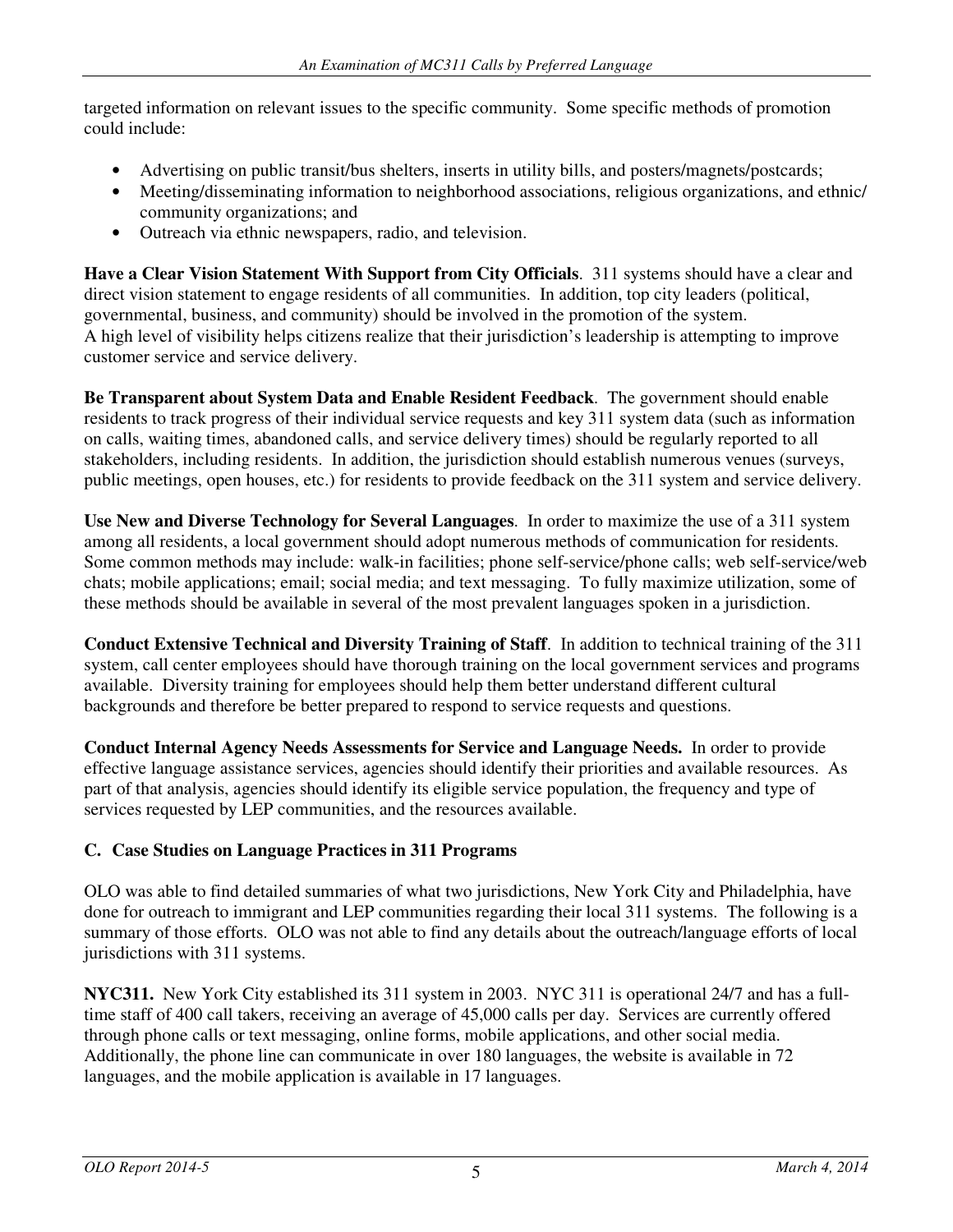targeted information on relevant issues to the specific community. Some specific methods of promotion could include:

- Advertising on public transit/bus shelters, inserts in utility bills, and posters/magnets/postcards;
- Meeting/disseminating information to neighborhood associations, religious organizations, and ethnic/ community organizations; and
- Outreach via ethnic newspapers, radio, and television.

**Have a Clear Vision Statement With Support from City Officials**. 311 systems should have a clear and direct vision statement to engage residents of all communities. In addition, top city leaders (political, governmental, business, and community) should be involved in the promotion of the system. A high level of visibility helps citizens realize that their jurisdiction's leadership is attempting to improve customer service and service delivery.

**Be Transparent about System Data and Enable Resident Feedback**. The government should enable residents to track progress of their individual service requests and key 311 system data (such as information on calls, waiting times, abandoned calls, and service delivery times) should be regularly reported to all stakeholders, including residents. In addition, the jurisdiction should establish numerous venues (surveys, public meetings, open houses, etc.) for residents to provide feedback on the 311 system and service delivery.

**Use New and Diverse Technology for Several Languages**. In order to maximize the use of a 311 system among all residents, a local government should adopt numerous methods of communication for residents. Some common methods may include: walk-in facilities; phone self-service/phone calls; web self-service/web chats; mobile applications; email; social media; and text messaging. To fully maximize utilization, some of these methods should be available in several of the most prevalent languages spoken in a jurisdiction.

**Conduct Extensive Technical and Diversity Training of Staff**. In addition to technical training of the 311 system, call center employees should have thorough training on the local government services and programs available. Diversity training for employees should help them better understand different cultural backgrounds and therefore be better prepared to respond to service requests and questions.

**Conduct Internal Agency Needs Assessments for Service and Language Needs.** In order to provide effective language assistance services, agencies should identify their priorities and available resources. As part of that analysis, agencies should identify its eligible service population, the frequency and type of services requested by LEP communities, and the resources available.

## **C. Case Studies on Language Practices in 311 Programs**

OLO was able to find detailed summaries of what two jurisdictions, New York City and Philadelphia, have done for outreach to immigrant and LEP communities regarding their local 311 systems. The following is a summary of those efforts. OLO was not able to find any details about the outreach/language efforts of local jurisdictions with 311 systems.

**NYC311.** New York City established its 311 system in 2003. NYC 311 is operational 24/7 and has a fulltime staff of 400 call takers, receiving an average of 45,000 calls per day. Services are currently offered through phone calls or text messaging, online forms, mobile applications, and other social media. Additionally, the phone line can communicate in over 180 languages, the website is available in 72 languages, and the mobile application is available in 17 languages.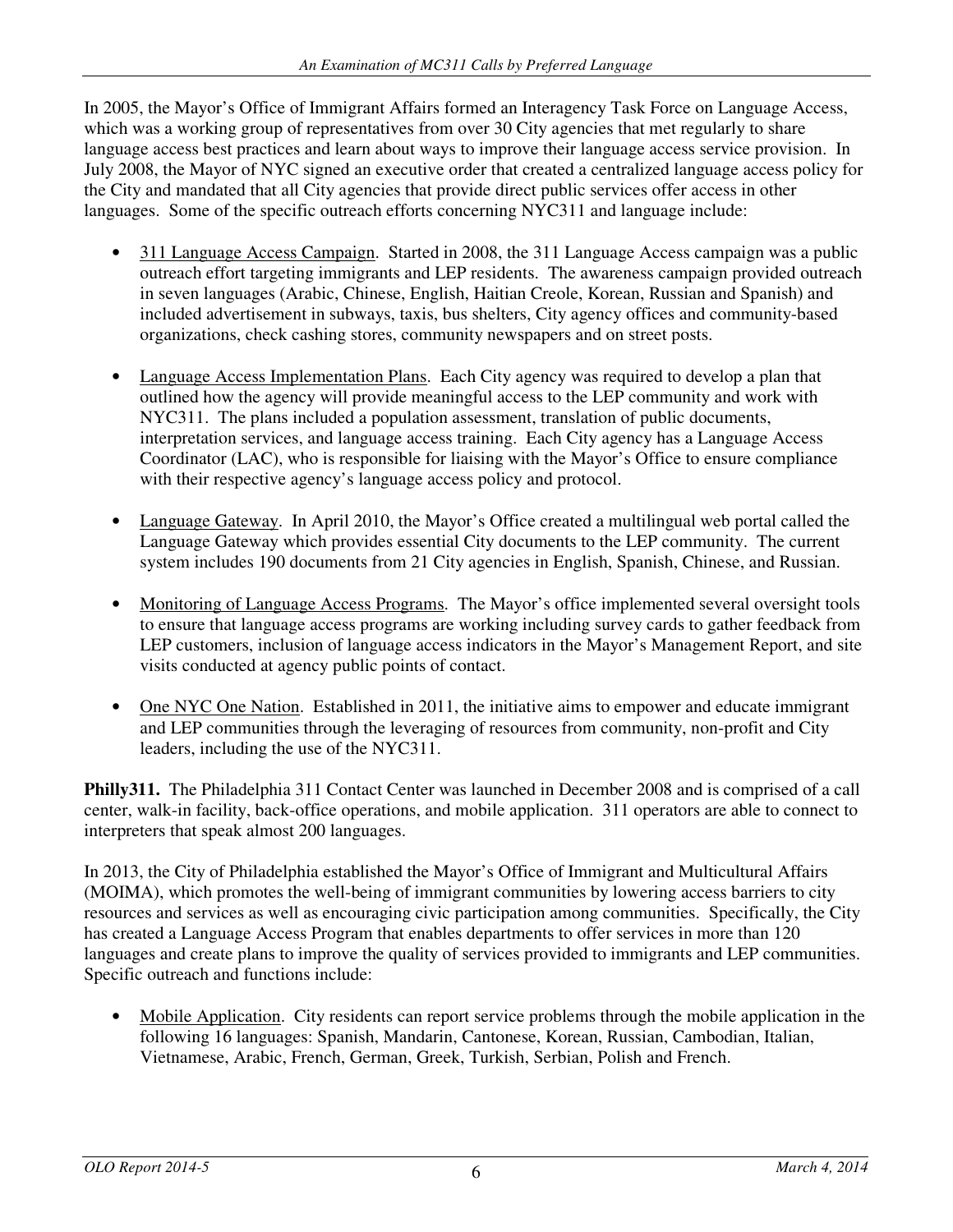In 2005, the Mayor's Office of Immigrant Affairs formed an Interagency Task Force on Language Access, which was a working group of representatives from over 30 City agencies that met regularly to share language access best practices and learn about ways to improve their language access service provision. In July 2008, the Mayor of NYC signed an executive order that created a centralized language access policy for the City and mandated that all City agencies that provide direct public services offer access in other languages. Some of the specific outreach efforts concerning NYC311 and language include:

- 311 Language Access Campaign. Started in 2008, the 311 Language Access campaign was a public outreach effort targeting immigrants and LEP residents. The awareness campaign provided outreach in seven languages (Arabic, Chinese, English, Haitian Creole, Korean, Russian and Spanish) and included advertisement in subways, taxis, bus shelters, City agency offices and community-based organizations, check cashing stores, community newspapers and on street posts.
- Language Access Implementation Plans. Each City agency was required to develop a plan that outlined how the agency will provide meaningful access to the LEP community and work with NYC311. The plans included a population assessment, translation of public documents, interpretation services, and language access training. Each City agency has a Language Access Coordinator (LAC), who is responsible for liaising with the Mayor's Office to ensure compliance with their respective agency's language access policy and protocol.
- Language Gateway. In April 2010, the Mayor's Office created a multilingual web portal called the Language Gateway which provides essential City documents to the LEP community. The current system includes 190 documents from 21 City agencies in English, Spanish, Chinese, and Russian.
- Monitoring of Language Access Programs. The Mayor's office implemented several oversight tools to ensure that language access programs are working including survey cards to gather feedback from LEP customers, inclusion of language access indicators in the Mayor's Management Report, and site visits conducted at agency public points of contact.
- One NYC One Nation. Established in 2011, the initiative aims to empower and educate immigrant and LEP communities through the leveraging of resources from community, non-profit and City leaders, including the use of the NYC311.

**Philly311.** The Philadelphia 311 Contact Center was launched in December 2008 and is comprised of a call center, walk-in facility, back-office operations, and mobile application. 311 operators are able to connect to interpreters that speak almost 200 languages.

In 2013, the City of Philadelphia established the Mayor's Office of Immigrant and Multicultural Affairs (MOIMA), which promotes the well-being of immigrant communities by lowering access barriers to city resources and services as well as encouraging civic participation among communities. Specifically, the City has created a Language Access Program that enables departments to offer services in more than 120 languages and create plans to improve the quality of services provided to immigrants and LEP communities. Specific outreach and functions include:

• Mobile Application. City residents can report service problems through the mobile application in the following 16 languages: Spanish, Mandarin, Cantonese, Korean, Russian, Cambodian, Italian, Vietnamese, Arabic, French, German, Greek, Turkish, Serbian, Polish and French.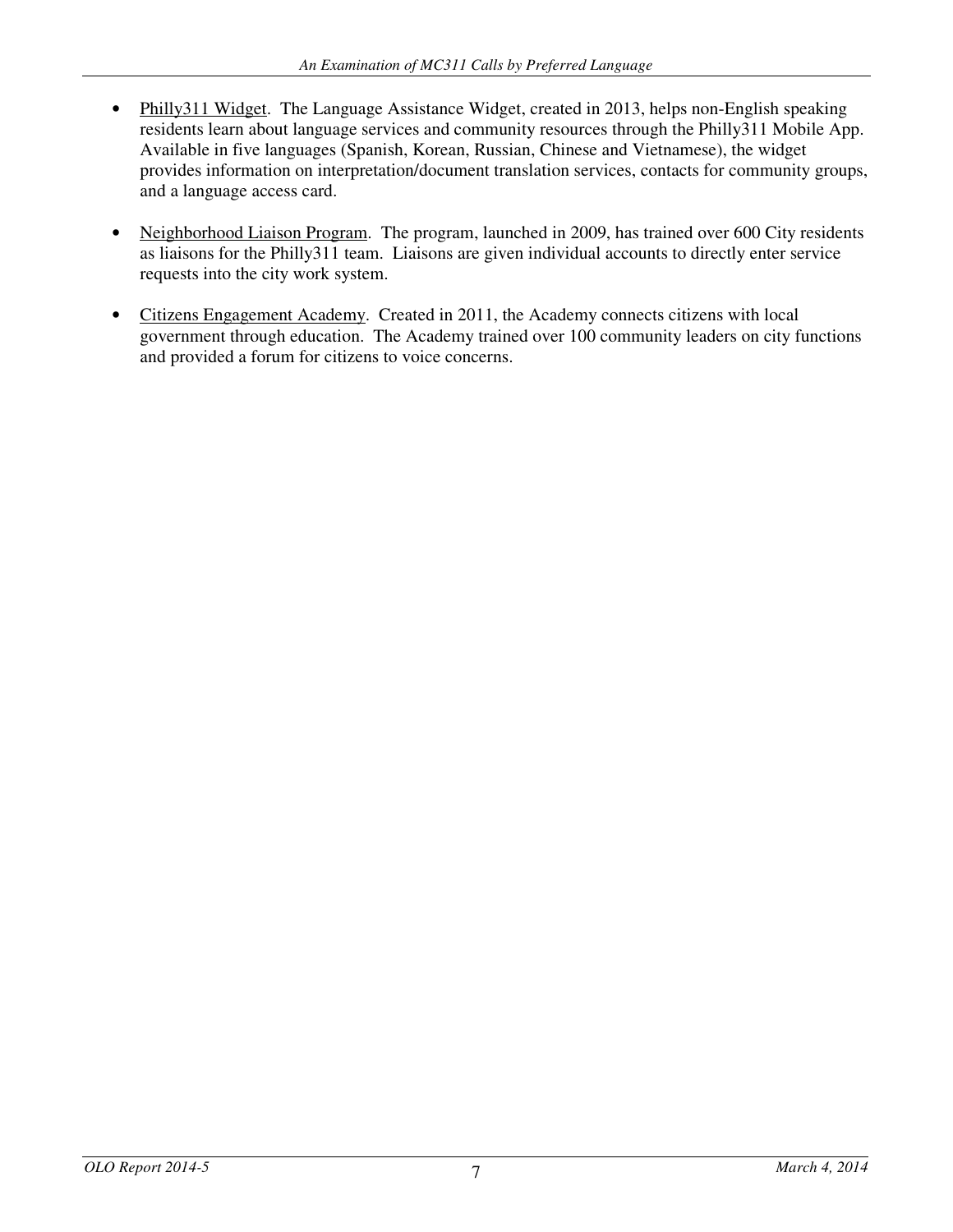- Philly311 Widget. The Language Assistance Widget, created in 2013, helps non-English speaking residents learn about language services and community resources through the Philly311 Mobile App. Available in five languages (Spanish, Korean, Russian, Chinese and Vietnamese), the widget provides information on interpretation/document translation services, contacts for community groups, and a language access card.
- Neighborhood Liaison Program. The program, launched in 2009, has trained over 600 City residents as liaisons for the Philly311 team. Liaisons are given individual accounts to directly enter service requests into the city work system.
- Citizens Engagement Academy. Created in 2011, the Academy connects citizens with local government through education. The Academy trained over 100 community leaders on city functions and provided a forum for citizens to voice concerns.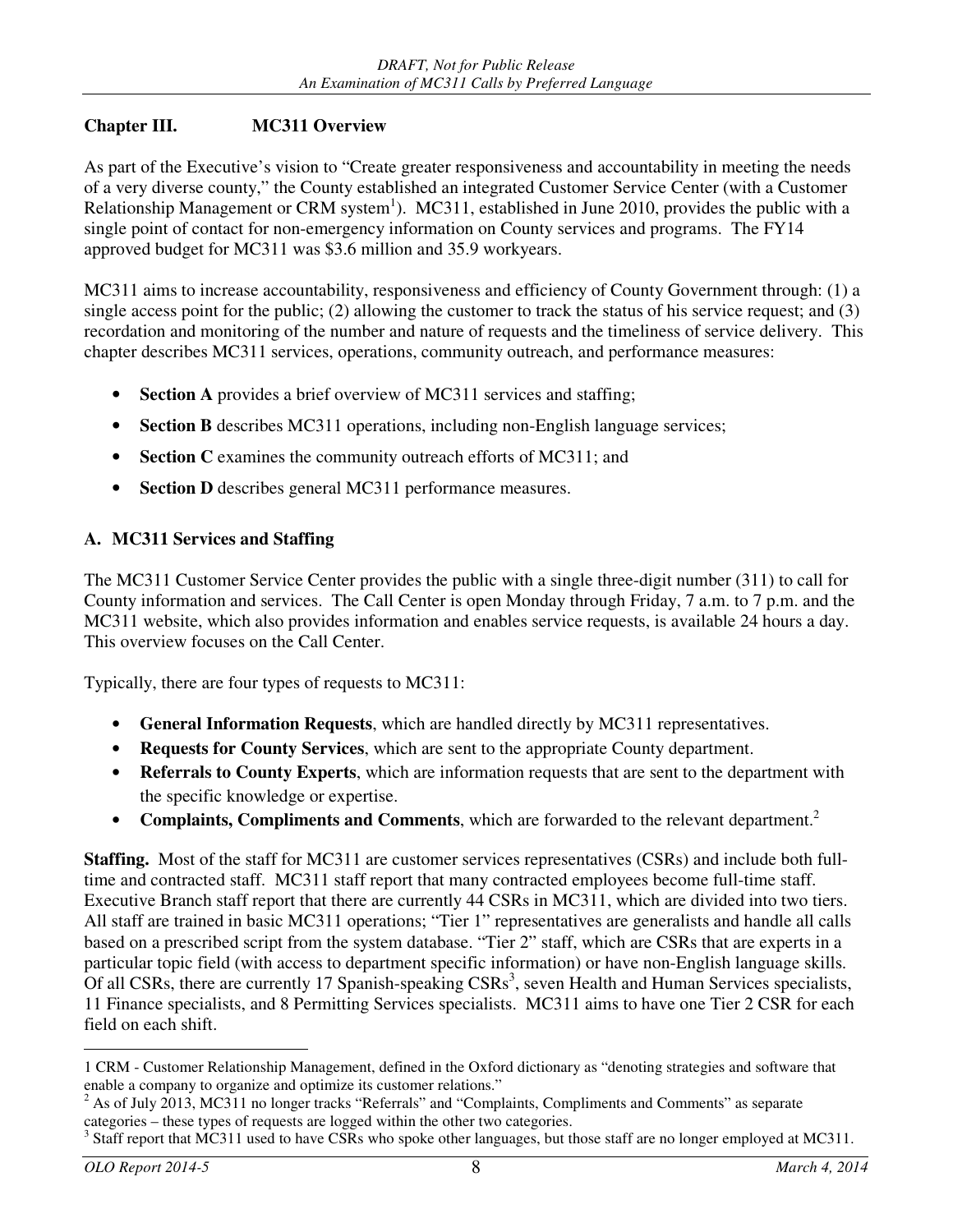## **Chapter III. MC311 Overview**

As part of the Executive's vision to "Create greater responsiveness and accountability in meeting the needs of a very diverse county," the County established an integrated Customer Service Center (with a Customer Relationship Management or CRM system<sup>1</sup>). MC311, established in June 2010, provides the public with a single point of contact for non-emergency information on County services and programs. The FY14 approved budget for MC311 was \$3.6 million and 35.9 workyears.

MC311 aims to increase accountability, responsiveness and efficiency of County Government through: (1) a single access point for the public; (2) allowing the customer to track the status of his service request; and (3) recordation and monitoring of the number and nature of requests and the timeliness of service delivery. This chapter describes MC311 services, operations, community outreach, and performance measures:

- **Section A** provides a brief overview of MC311 services and staffing;
- **Section B** describes MC311 operations, including non-English language services;
- **Section C** examines the community outreach efforts of MC311; and
- **Section D** describes general MC311 performance measures.

## **A. MC311 Services and Staffing**

The MC311 Customer Service Center provides the public with a single three-digit number (311) to call for County information and services. The Call Center is open Monday through Friday, 7 a.m. to 7 p.m. and the MC311 website, which also provides information and enables service requests, is available 24 hours a day. This overview focuses on the Call Center.

Typically, there are four types of requests to MC311:

- **General Information Requests**, which are handled directly by MC311 representatives.
- **Requests for County Services**, which are sent to the appropriate County department.
- **Referrals to County Experts**, which are information requests that are sent to the department with the specific knowledge or expertise.
- **Complaints, Compliments and Comments**, which are forwarded to the relevant department.<sup>2</sup>

**Staffing.** Most of the staff for MC311 are customer services representatives (CSRs) and include both fulltime and contracted staff. MC311 staff report that many contracted employees become full-time staff. Executive Branch staff report that there are currently 44 CSRs in MC311, which are divided into two tiers. All staff are trained in basic MC311 operations; "Tier 1" representatives are generalists and handle all calls based on a prescribed script from the system database. "Tier 2" staff, which are CSRs that are experts in a particular topic field (with access to department specific information) or have non-English language skills. Of all CSRs, there are currently 17 Spanish-speaking CSRs<sup>3</sup>, seven Health and Human Services specialists, 11 Finance specialists, and 8 Permitting Services specialists. MC311 aims to have one Tier 2 CSR for each field on each shift.

<sup>-</sup>1 CRM - Customer Relationship Management, defined in the Oxford dictionary as "denoting strategies and software that enable a company to organize and optimize its customer relations."

<sup>2</sup> As of July 2013, MC311 no longer tracks "Referrals" and "Complaints, Compliments and Comments" as separate categories – these types of requests are logged within the other two categories.

<sup>3</sup> Staff report that MC311 used to have CSRs who spoke other languages, but those staff are no longer employed at MC311.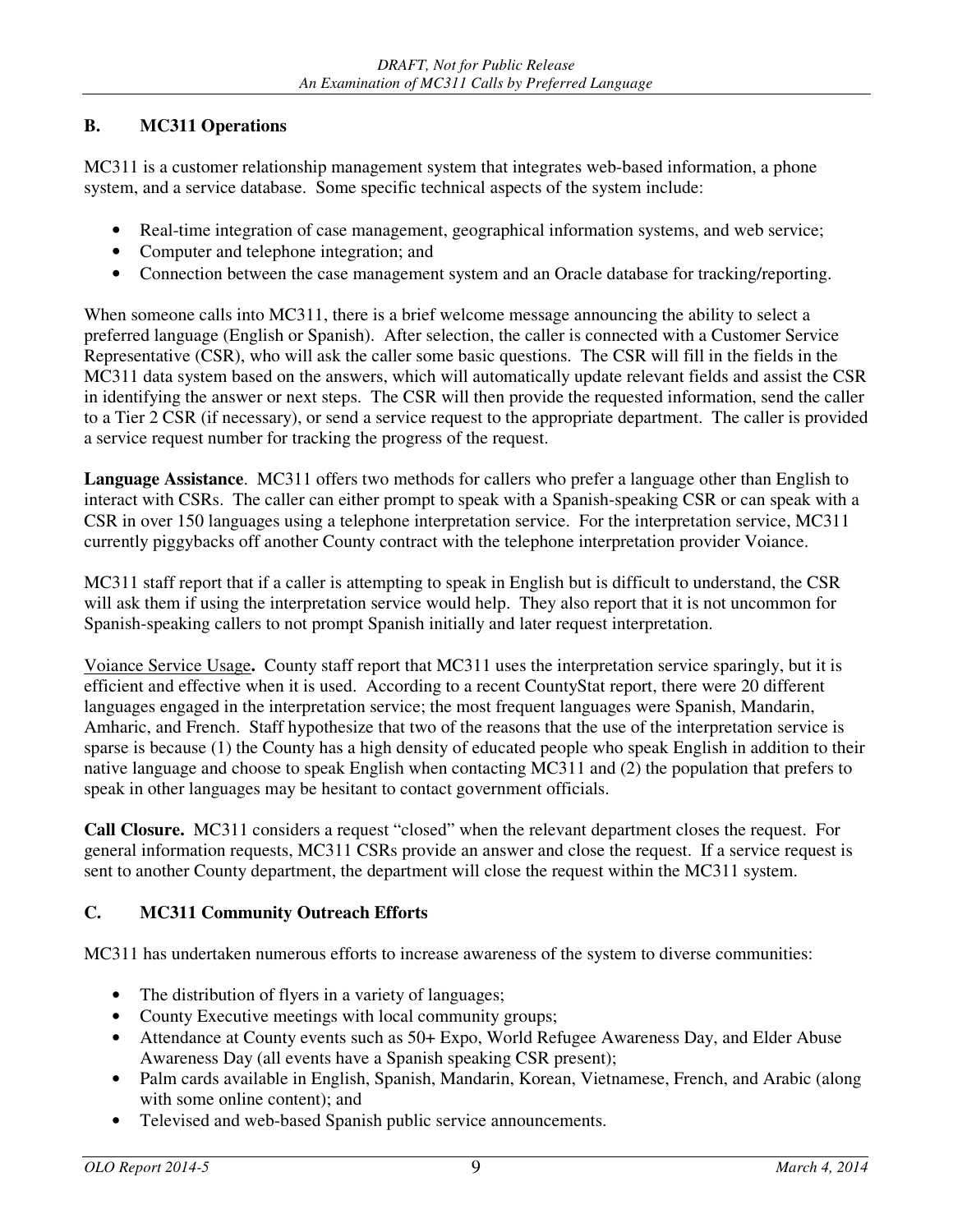## **B. MC311 Operations**

MC311 is a customer relationship management system that integrates web-based information, a phone system, and a service database. Some specific technical aspects of the system include:

- Real-time integration of case management, geographical information systems, and web service;
- Computer and telephone integration; and
- Connection between the case management system and an Oracle database for tracking/reporting.

When someone calls into MC311, there is a brief welcome message announcing the ability to select a preferred language (English or Spanish). After selection, the caller is connected with a Customer Service Representative (CSR), who will ask the caller some basic questions. The CSR will fill in the fields in the MC311 data system based on the answers, which will automatically update relevant fields and assist the CSR in identifying the answer or next steps. The CSR will then provide the requested information, send the caller to a Tier 2 CSR (if necessary), or send a service request to the appropriate department. The caller is provided a service request number for tracking the progress of the request.

**Language Assistance**. MC311 offers two methods for callers who prefer a language other than English to interact with CSRs. The caller can either prompt to speak with a Spanish-speaking CSR or can speak with a CSR in over 150 languages using a telephone interpretation service. For the interpretation service, MC311 currently piggybacks off another County contract with the telephone interpretation provider Voiance.

MC311 staff report that if a caller is attempting to speak in English but is difficult to understand, the CSR will ask them if using the interpretation service would help. They also report that it is not uncommon for Spanish-speaking callers to not prompt Spanish initially and later request interpretation.

Voiance Service Usage**.** County staff report that MC311 uses the interpretation service sparingly, but it is efficient and effective when it is used. According to a recent CountyStat report, there were 20 different languages engaged in the interpretation service; the most frequent languages were Spanish, Mandarin, Amharic, and French. Staff hypothesize that two of the reasons that the use of the interpretation service is sparse is because (1) the County has a high density of educated people who speak English in addition to their native language and choose to speak English when contacting MC311 and (2) the population that prefers to speak in other languages may be hesitant to contact government officials.

**Call Closure.** MC311 considers a request "closed" when the relevant department closes the request. For general information requests, MC311 CSRs provide an answer and close the request. If a service request is sent to another County department, the department will close the request within the MC311 system.

## **C. MC311 Community Outreach Efforts**

MC311 has undertaken numerous efforts to increase awareness of the system to diverse communities:

- The distribution of flyers in a variety of languages;
- County Executive meetings with local community groups;
- Attendance at County events such as 50+ Expo, World Refugee Awareness Day, and Elder Abuse Awareness Day (all events have a Spanish speaking CSR present);
- Palm cards available in English, Spanish, Mandarin, Korean, Vietnamese, French, and Arabic (along with some online content); and
- Televised and web-based Spanish public service announcements.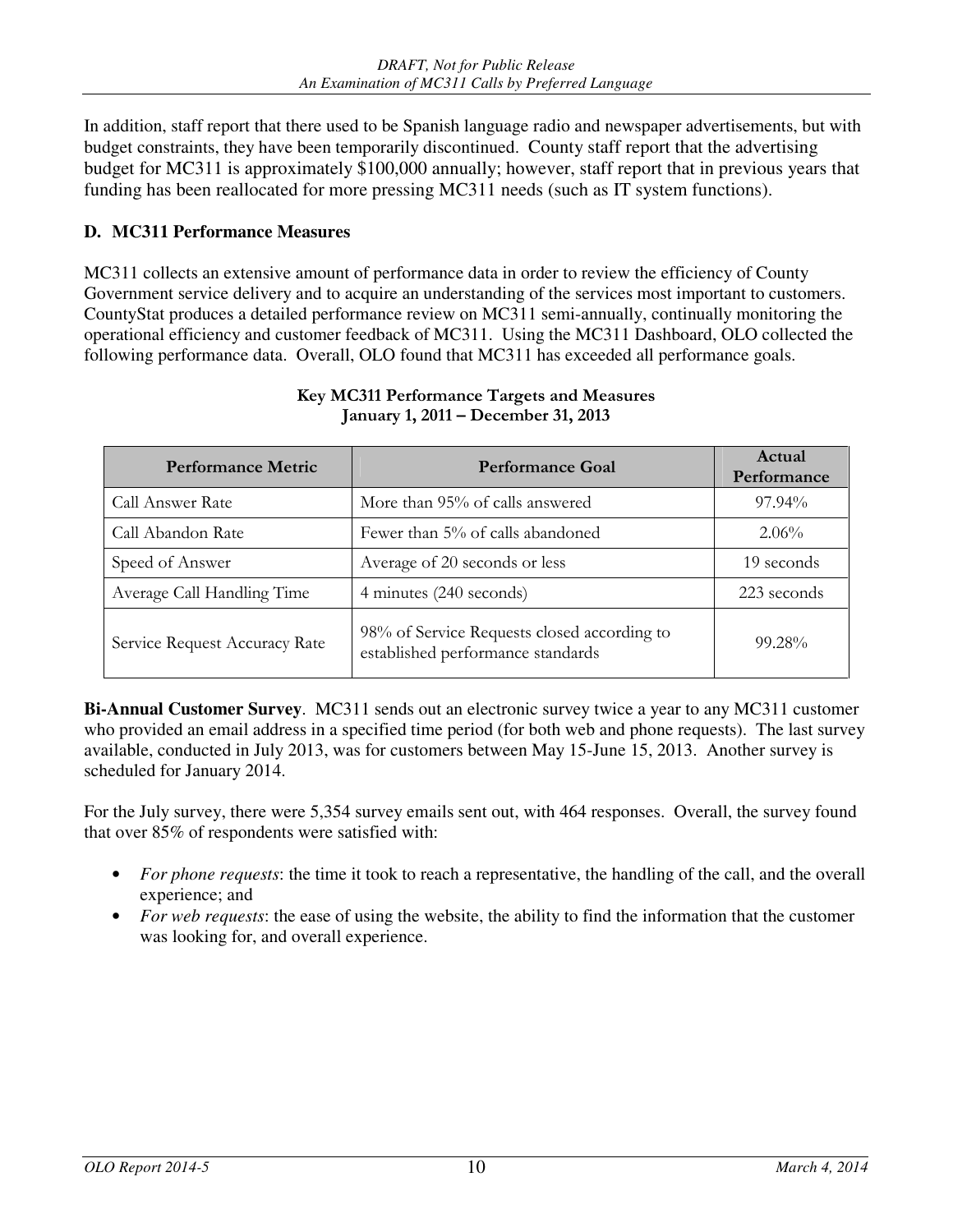In addition, staff report that there used to be Spanish language radio and newspaper advertisements, but with budget constraints, they have been temporarily discontinued. County staff report that the advertising budget for MC311 is approximately \$100,000 annually; however, staff report that in previous years that funding has been reallocated for more pressing MC311 needs (such as IT system functions).

## **D. MC311 Performance Measures**

MC311 collects an extensive amount of performance data in order to review the efficiency of County Government service delivery and to acquire an understanding of the services most important to customers. CountyStat produces a detailed performance review on MC311 semi-annually, continually monitoring the operational efficiency and customer feedback of MC311. Using the MC311 Dashboard, OLO collected the following performance data. Overall, OLO found that MC311 has exceeded all performance goals.

| <b>Performance Metric</b>     | <b>Performance Goal</b>                                                          | Actual<br>Performance |
|-------------------------------|----------------------------------------------------------------------------------|-----------------------|
| Call Answer Rate              | More than 95% of calls answered                                                  | 97.94%                |
| Call Abandon Rate             | Fewer than 5% of calls abandoned                                                 |                       |
| Speed of Answer               | Average of 20 seconds or less                                                    | 19 seconds            |
| Average Call Handling Time    | 4 minutes (240 seconds)                                                          | 223 seconds           |
| Service Request Accuracy Rate | 98% of Service Requests closed according to<br>established performance standards | $99.28\%$             |

#### Key MC311 Performance Targets and Measures January 1, 2011 – December 31, 2013

**Bi-Annual Customer Survey**. MC311 sends out an electronic survey twice a year to any MC311 customer who provided an email address in a specified time period (for both web and phone requests). The last survey available, conducted in July 2013, was for customers between May 15-June 15, 2013. Another survey is scheduled for January 2014.

For the July survey, there were 5,354 survey emails sent out, with 464 responses. Overall, the survey found that over 85% of respondents were satisfied with:

- *For phone requests*: the time it took to reach a representative, the handling of the call, and the overall experience; and
- *For web requests*: the ease of using the website, the ability to find the information that the customer was looking for, and overall experience.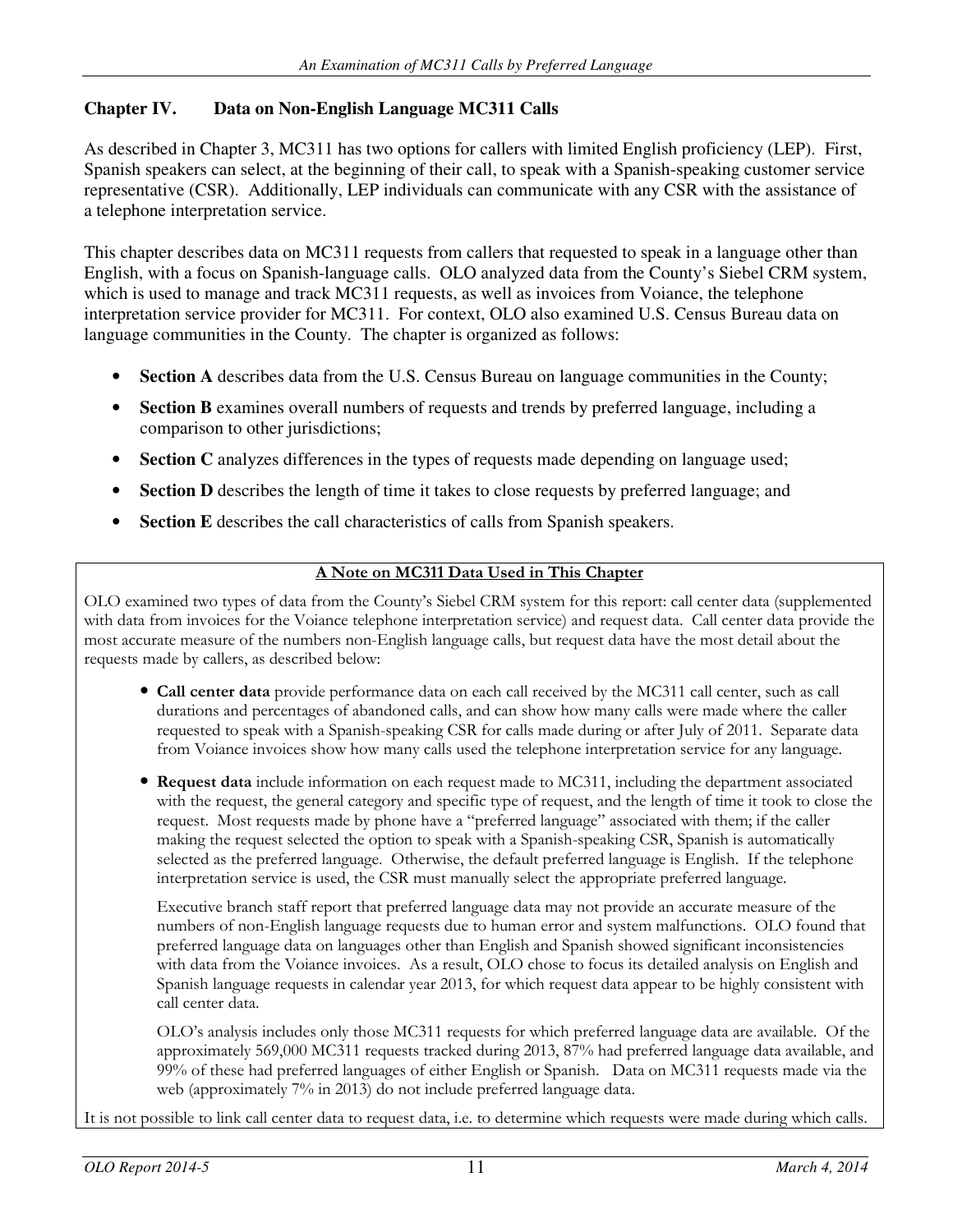## **Chapter IV. Data on Non-English Language MC311 Calls**

As described in Chapter 3, MC311 has two options for callers with limited English proficiency (LEP). First, Spanish speakers can select, at the beginning of their call, to speak with a Spanish-speaking customer service representative (CSR). Additionally, LEP individuals can communicate with any CSR with the assistance of a telephone interpretation service.

This chapter describes data on MC311 requests from callers that requested to speak in a language other than English, with a focus on Spanish-language calls. OLO analyzed data from the County's Siebel CRM system, which is used to manage and track MC311 requests, as well as invoices from Voiance, the telephone interpretation service provider for MC311. For context, OLO also examined U.S. Census Bureau data on language communities in the County. The chapter is organized as follows:

- **Section A** describes data from the U.S. Census Bureau on language communities in the County;
- **Section B** examines overall numbers of requests and trends by preferred language, including a comparison to other jurisdictions;
- **Section C** analyzes differences in the types of requests made depending on language used;
- **Section D** describes the length of time it takes to close requests by preferred language; and
- **Section E** describes the call characteristics of calls from Spanish speakers.

## A Note on MC311 Data Used in This Chapter

OLO examined two types of data from the County's Siebel CRM system for this report: call center data (supplemented with data from invoices for the Voiance telephone interpretation service) and request data. Call center data provide the most accurate measure of the numbers non-English language calls, but request data have the most detail about the requests made by callers, as described below:

- Call center data provide performance data on each call received by the MC311 call center, such as call durations and percentages of abandoned calls, and can show how many calls were made where the caller requested to speak with a Spanish-speaking CSR for calls made during or after July of 2011. Separate data from Voiance invoices show how many calls used the telephone interpretation service for any language.
- Request data include information on each request made to MC311, including the department associated with the request, the general category and specific type of request, and the length of time it took to close the request. Most requests made by phone have a "preferred language" associated with them; if the caller making the request selected the option to speak with a Spanish-speaking CSR, Spanish is automatically selected as the preferred language. Otherwise, the default preferred language is English. If the telephone interpretation service is used, the CSR must manually select the appropriate preferred language.

Executive branch staff report that preferred language data may not provide an accurate measure of the numbers of non-English language requests due to human error and system malfunctions. OLO found that preferred language data on languages other than English and Spanish showed significant inconsistencies with data from the Voiance invoices. As a result, OLO chose to focus its detailed analysis on English and Spanish language requests in calendar year 2013, for which request data appear to be highly consistent with call center data.

OLO's analysis includes only those MC311 requests for which preferred language data are available. Of the approximately 569,000 MC311 requests tracked during 2013, 87% had preferred language data available, and 99% of these had preferred languages of either English or Spanish. Data on MC311 requests made via the web (approximately 7% in 2013) do not include preferred language data.

It is not possible to link call center data to request data, i.e. to determine which requests were made during which calls.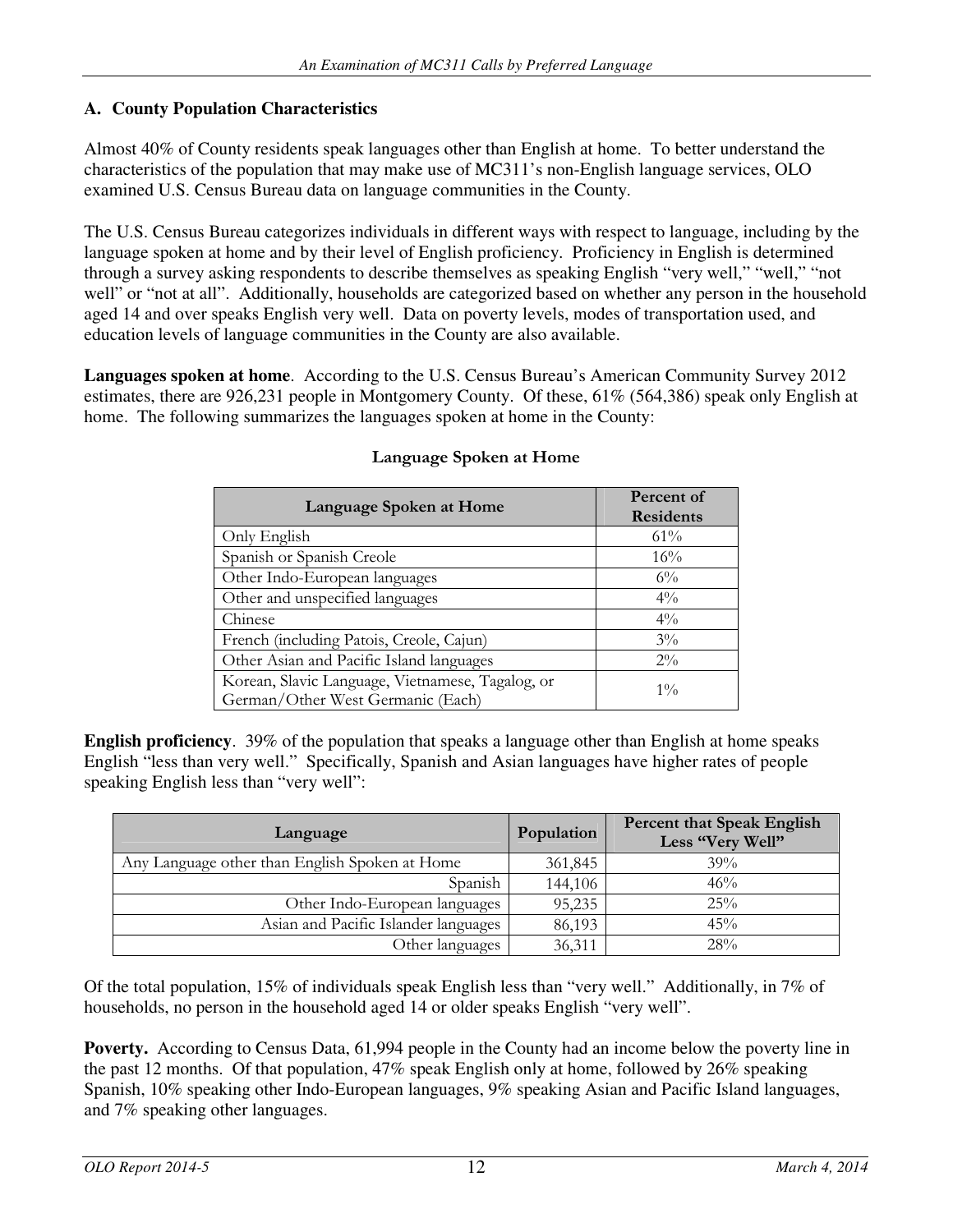## **A. County Population Characteristics**

Almost 40% of County residents speak languages other than English at home. To better understand the characteristics of the population that may make use of MC311's non-English language services, OLO examined U.S. Census Bureau data on language communities in the County.

The U.S. Census Bureau categorizes individuals in different ways with respect to language, including by the language spoken at home and by their level of English proficiency. Proficiency in English is determined through a survey asking respondents to describe themselves as speaking English "very well," "well," "not well" or "not at all". Additionally, households are categorized based on whether any person in the household aged 14 and over speaks English very well. Data on poverty levels, modes of transportation used, and education levels of language communities in the County are also available.

**Languages spoken at home**. According to the U.S. Census Bureau's American Community Survey 2012 estimates, there are 926,231 people in Montgomery County. Of these, 61% (564,386) speak only English at home. The following summarizes the languages spoken at home in the County:

| Language Spoken at Home                                                               | Percent of<br><b>Residents</b> |
|---------------------------------------------------------------------------------------|--------------------------------|
| Only English                                                                          | $61\%$                         |
| Spanish or Spanish Creole                                                             | 16%                            |
| Other Indo-European languages                                                         | $6\%$                          |
| Other and unspecified languages                                                       | $4\%$                          |
| Chinese                                                                               | $4\%$                          |
| French (including Patois, Creole, Cajun)                                              | $3\%$                          |
| Other Asian and Pacific Island languages                                              | $2\%$                          |
| Korean, Slavic Language, Vietnamese, Tagalog, or<br>German/Other West Germanic (Each) | $1\%$                          |

### Language Spoken at Home

**English proficiency**. 39% of the population that speaks a language other than English at home speaks English "less than very well." Specifically, Spanish and Asian languages have higher rates of people speaking English less than "very well":

| Language                                       | Population | <b>Percent that Speak English</b><br>Less "Very Well" |
|------------------------------------------------|------------|-------------------------------------------------------|
| Any Language other than English Spoken at Home | 361,845    | 39%                                                   |
| Spanish                                        | 144,106    | 46%                                                   |
| Other Indo-European languages                  | 95,235     | 25%                                                   |
| Asian and Pacific Islander languages           | 86,193     | 45%                                                   |
| Other languages                                | 36,311     | 28%                                                   |

Of the total population, 15% of individuals speak English less than "very well." Additionally, in 7% of households, no person in the household aged 14 or older speaks English "very well".

**Poverty.** According to Census Data, 61,994 people in the County had an income below the poverty line in the past 12 months. Of that population, 47% speak English only at home, followed by 26% speaking Spanish, 10% speaking other Indo-European languages, 9% speaking Asian and Pacific Island languages, and 7% speaking other languages.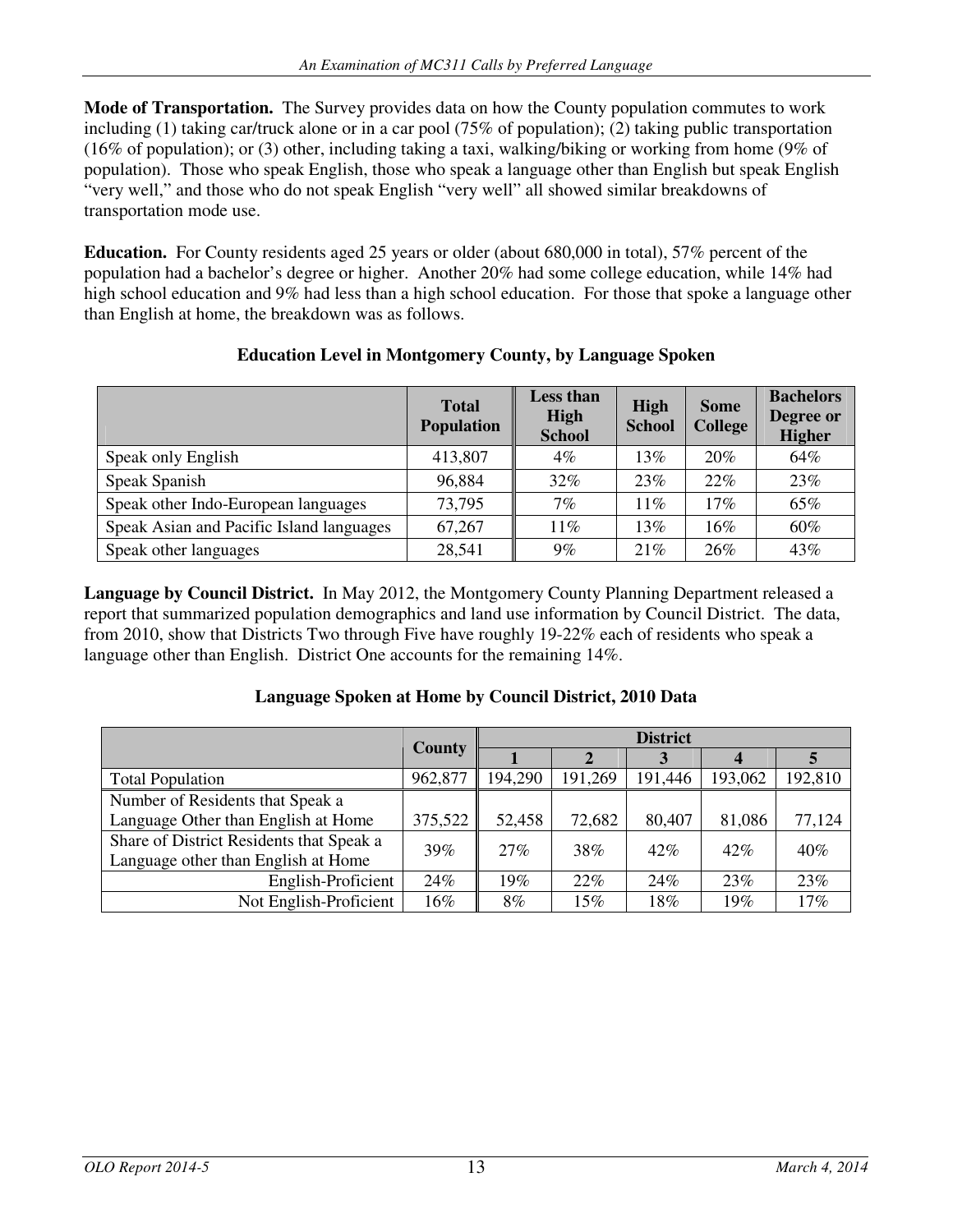**Mode of Transportation.** The Survey provides data on how the County population commutes to work including (1) taking car/truck alone or in a car pool (75% of population); (2) taking public transportation (16% of population); or (3) other, including taking a taxi, walking/biking or working from home (9% of population). Those who speak English, those who speak a language other than English but speak English "very well," and those who do not speak English "very well" all showed similar breakdowns of transportation mode use.

**Education.** For County residents aged 25 years or older (about 680,000 in total), 57% percent of the population had a bachelor's degree or higher. Another 20% had some college education, while 14% had high school education and 9% had less than a high school education. For those that spoke a language other than English at home, the breakdown was as follows.

|                                          | <b>Total</b><br><b>Population</b> | <b>Less than</b><br>High<br><b>School</b> | <b>High</b><br><b>School</b> | <b>Some</b><br><b>College</b> | <b>Bachelors</b><br>Degree or<br><b>Higher</b> |
|------------------------------------------|-----------------------------------|-------------------------------------------|------------------------------|-------------------------------|------------------------------------------------|
| Speak only English                       | 413,807                           | 4%                                        | 13%                          | 20%                           | 64%                                            |
| Speak Spanish                            | 96,884                            | 32%                                       | 23%                          | 22%                           | 23%                                            |
| Speak other Indo-European languages      | 73,795                            | 7%                                        | 11%                          | 17%                           | 65%                                            |
| Speak Asian and Pacific Island languages | 67,267                            | $11\%$                                    | 13%                          | 16%                           | 60%                                            |
| Speak other languages                    | 28,541                            | 9%                                        | 21%                          | 26%                           | 43%                                            |

## **Education Level in Montgomery County, by Language Spoken**

**Language by Council District.** In May 2012, the Montgomery County Planning Department released a report that summarized population demographics and land use information by Council District. The data, from 2010, show that Districts Two through Five have roughly 19-22% each of residents who speak a language other than English. District One accounts for the remaining 14%.

### **Language Spoken at Home by Council District, 2010 Data**

|                                                 | <b>County</b> | <b>District</b> |         |         |         |         |
|-------------------------------------------------|---------------|-----------------|---------|---------|---------|---------|
|                                                 |               |                 |         |         |         |         |
| <b>Total Population</b>                         | 962,877       | 194,290         | 191,269 | 191,446 | 193,062 | 192,810 |
| Number of Residents that Speak a                |               |                 |         |         |         |         |
| Language Other than English at Home             | 375,522       | 52,458          | 72,682  | 80,407  | 81,086  | 77,124  |
| Share of District Residents that Speak a<br>39% |               | 27%             | 38%     | 42%     | $42\%$  | $40\%$  |
| Language other than English at Home             |               |                 |         |         |         |         |
| English-Proficient                              | 24%           | 19%             | 22%     | 24%     | 23%     | 23%     |
| Not English-Proficient                          | 16%           | 8%              | 15%     | 18%     | 19%     | 17%     |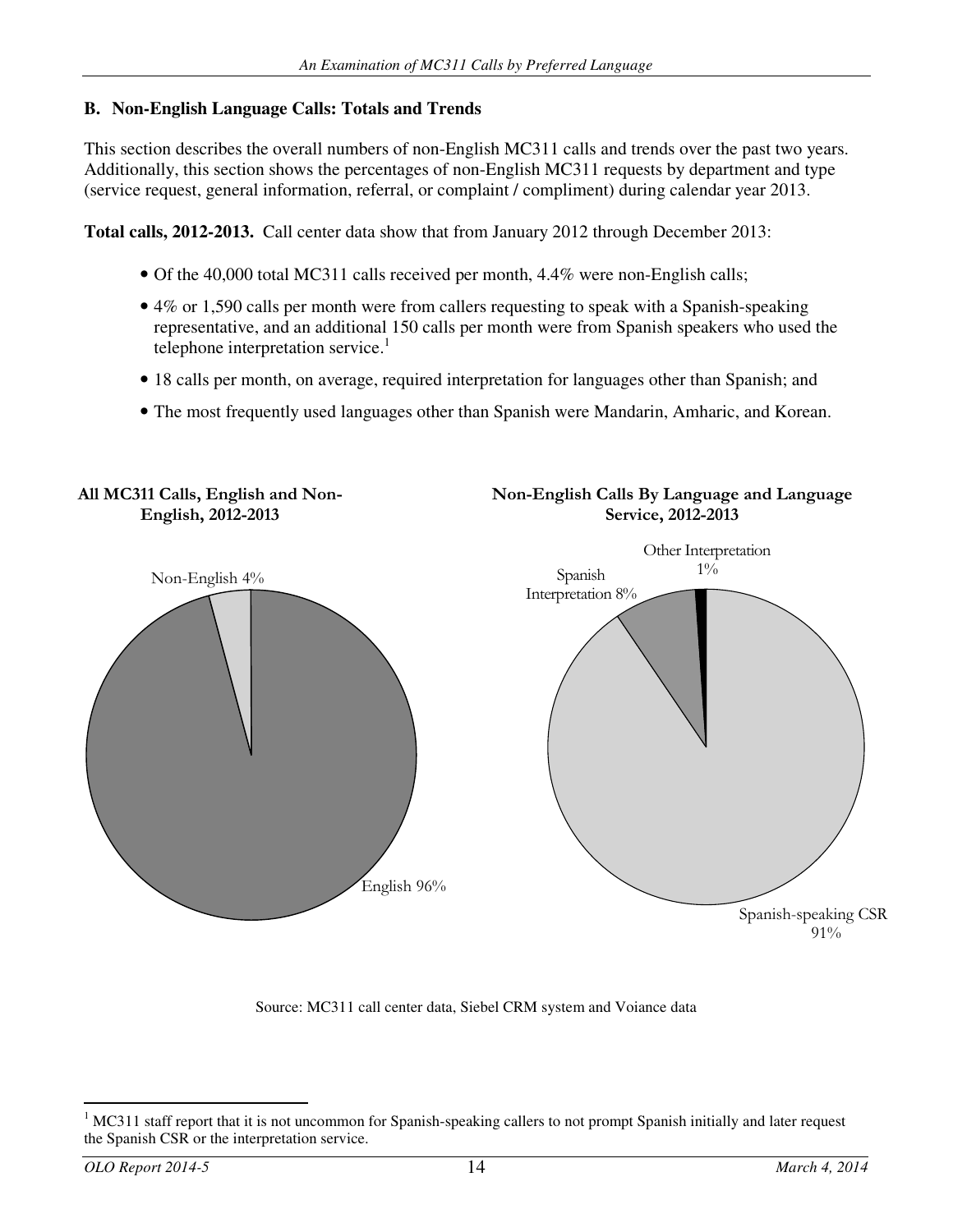## **B. Non-English Language Calls: Totals and Trends**

This section describes the overall numbers of non-English MC311 calls and trends over the past two years. Additionally, this section shows the percentages of non-English MC311 requests by department and type (service request, general information, referral, or complaint / compliment) during calendar year 2013.

**Total calls, 2012-2013.** Call center data show that from January 2012 through December 2013:

- Of the 40,000 total MC311 calls received per month, 4.4% were non-English calls;
- 4% or 1,590 calls per month were from callers requesting to speak with a Spanish-speaking representative, and an additional 150 calls per month were from Spanish speakers who used the telephone interpretation service.<sup>1</sup>
- 18 calls per month, on average, required interpretation for languages other than Spanish; and
- The most frequently used languages other than Spanish were Mandarin, Amharic, and Korean.



Source: MC311 call center data, Siebel CRM system and Voiance data

<sup>-</sup>1 MC311 staff report that it is not uncommon for Spanish-speaking callers to not prompt Spanish initially and later request the Spanish CSR or the interpretation service.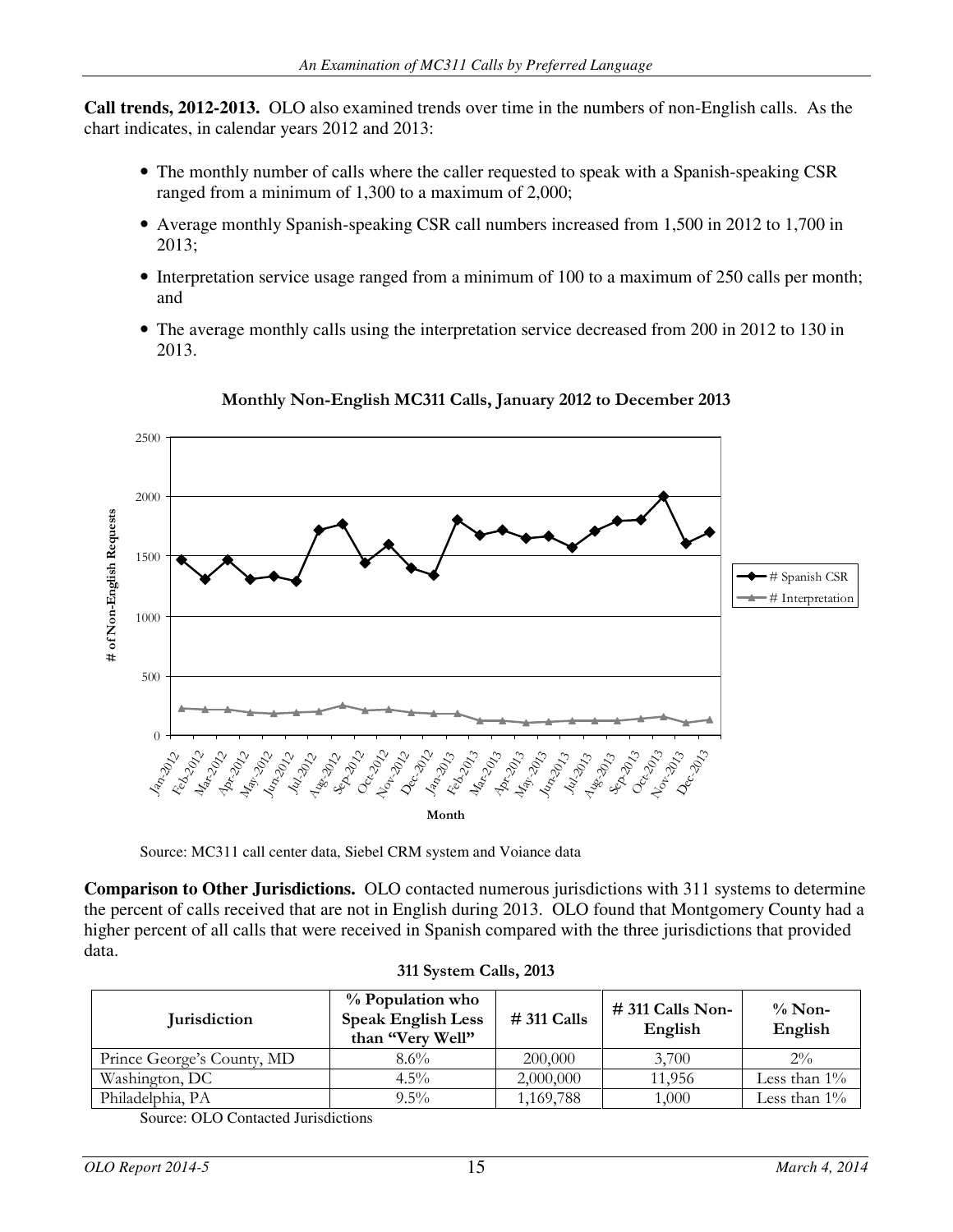**Call trends, 2012-2013.** OLO also examined trends over time in the numbers of non-English calls. As the chart indicates, in calendar years 2012 and 2013:

- The monthly number of calls where the caller requested to speak with a Spanish-speaking CSR ranged from a minimum of 1,300 to a maximum of 2,000;
- Average monthly Spanish-speaking CSR call numbers increased from 1,500 in 2012 to 1,700 in 2013;
- Interpretation service usage ranged from a minimum of 100 to a maximum of 250 calls per month; and
- The average monthly calls using the interpretation service decreased from 200 in 2012 to 130 in 2013.



## Monthly Non-English MC311 Calls, January 2012 to December 2013

Source: MC311 call center data, Siebel CRM system and Voiance data

**Comparison to Other Jurisdictions.** OLO contacted numerous jurisdictions with 311 systems to determine the percent of calls received that are not in English during 2013. OLO found that Montgomery County had a higher percent of all calls that were received in Spanish compared with the three jurisdictions that provided data.

| <b>Jurisdiction</b>        | % Population who<br><b>Speak English Less</b><br>than "Very Well" | $# 311$ Calls | $# 311$ Calls Non-<br>English | $\%$ Non-<br>English |
|----------------------------|-------------------------------------------------------------------|---------------|-------------------------------|----------------------|
| Prince George's County, MD | $8.6\%$                                                           | 200,000       | 3.700                         | $2\%$                |
| Washington, DC             | $4.5\%$                                                           | 2,000,000     | 11.956                        | Less than $1\%$      |
| Philadelphia, PA           | $9.5\%$                                                           | 1,169,788     | 1,000                         | Less than $1\%$      |

#### 311 System Calls, 2013

Source: OLO Contacted Jurisdictions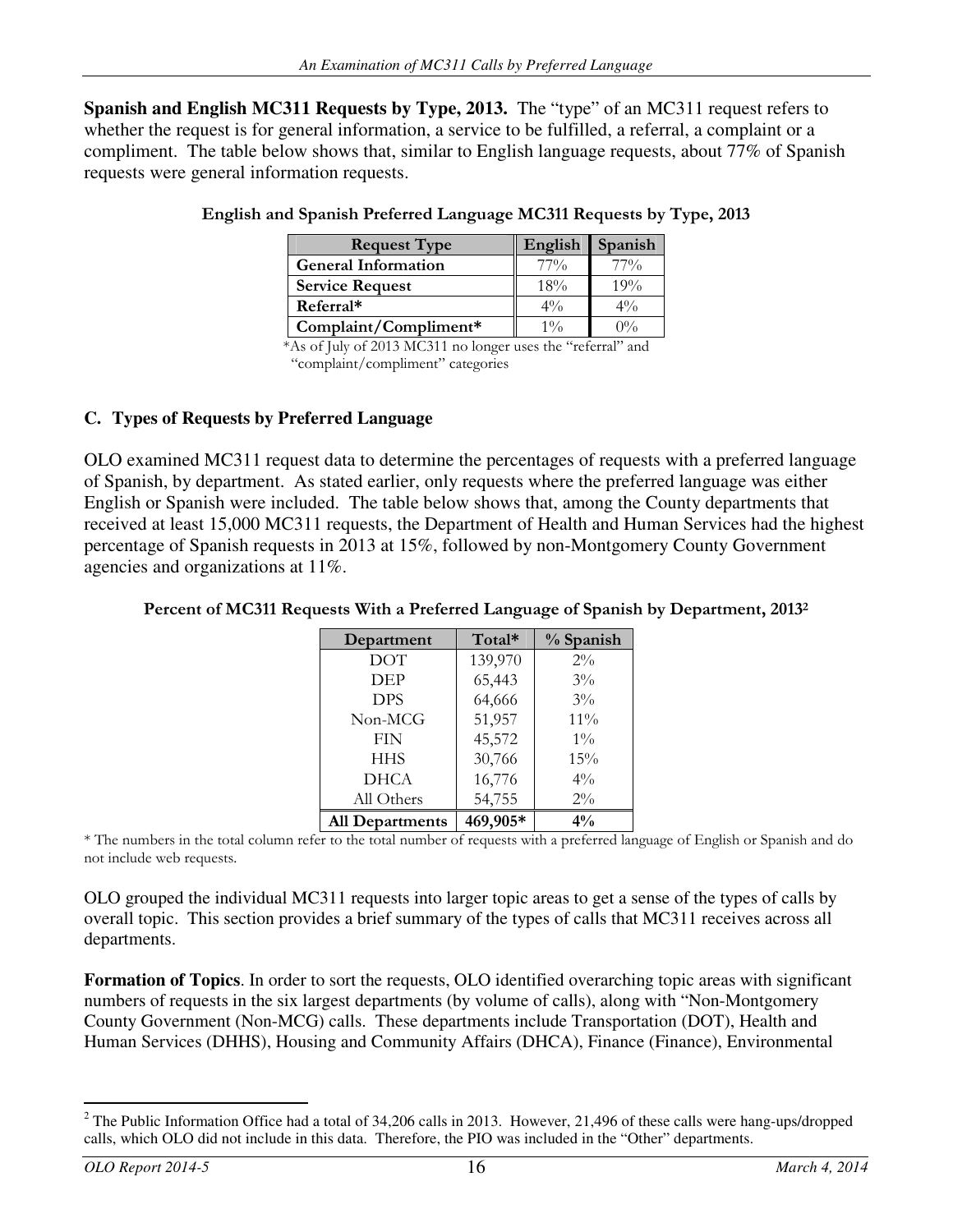**Spanish and English MC311 Requests by Type, 2013.** The "type" of an MC311 request refers to whether the request is for general information, a service to be fulfilled, a referral, a complaint or a compliment. The table below shows that, similar to English language requests, about 77% of Spanish requests were general information requests.

| <b>Request Type</b>        | English | <b>Spanish</b> |  |
|----------------------------|---------|----------------|--|
| <b>General Information</b> | $77\%$  | $77\%$         |  |
| <b>Service Request</b>     | 18%     | 19%            |  |
| Referral*                  | $4\%$   | $4\%$          |  |
| Complaint/Compliment*      | $1\%$   | $0\%$          |  |

| English and Spanish Preferred Language MC311 Requests by Type, 2013 |  |  |  |
|---------------------------------------------------------------------|--|--|--|
|                                                                     |  |  |  |
|                                                                     |  |  |  |

 \*As of July of 2013 MC311 no longer uses the "referral" and "complaint/compliment" categories

### **C. Types of Requests by Preferred Language**

OLO examined MC311 request data to determine the percentages of requests with a preferred language of Spanish, by department. As stated earlier, only requests where the preferred language was either English or Spanish were included. The table below shows that, among the County departments that received at least 15,000 MC311 requests, the Department of Health and Human Services had the highest percentage of Spanish requests in 2013 at 15%, followed by non-Montgomery County Government agencies and organizations at 11%.

#### Percent of MC311 Requests With a Preferred Language of Spanish by Department, 2013<sup>2</sup>

| Department      | Total*   | % Spanish |
|-----------------|----------|-----------|
| <b>DOT</b>      | 139,970  | $2\%$     |
| DEP             | 65,443   | $3\%$     |
| <b>DPS</b>      | 64,666   | $3\%$     |
| Non-MCG         | 51,957   | 11%       |
| <b>FIN</b>      | 45,572   | $1\%$     |
| <b>HHS</b>      | 30,766   | 15%       |
| <b>DHCA</b>     | 16,776   | $4\%$     |
| All Others      | 54,755   | $2\%$     |
| All Departments | 469,905* | $4\%$     |

\* The numbers in the total column refer to the total number of requests with a preferred language of English or Spanish and do not include web requests.

OLO grouped the individual MC311 requests into larger topic areas to get a sense of the types of calls by overall topic. This section provides a brief summary of the types of calls that MC311 receives across all departments.

**Formation of Topics**. In order to sort the requests, OLO identified overarching topic areas with significant numbers of requests in the six largest departments (by volume of calls), along with "Non-Montgomery County Government (Non-MCG) calls. These departments include Transportation (DOT), Health and Human Services (DHHS), Housing and Community Affairs (DHCA), Finance (Finance), Environmental

<sup>-</sup><sup>2</sup> The Public Information Office had a total of 34,206 calls in 2013. However, 21,496 of these calls were hang-ups/dropped calls, which OLO did not include in this data. Therefore, the PIO was included in the "Other" departments.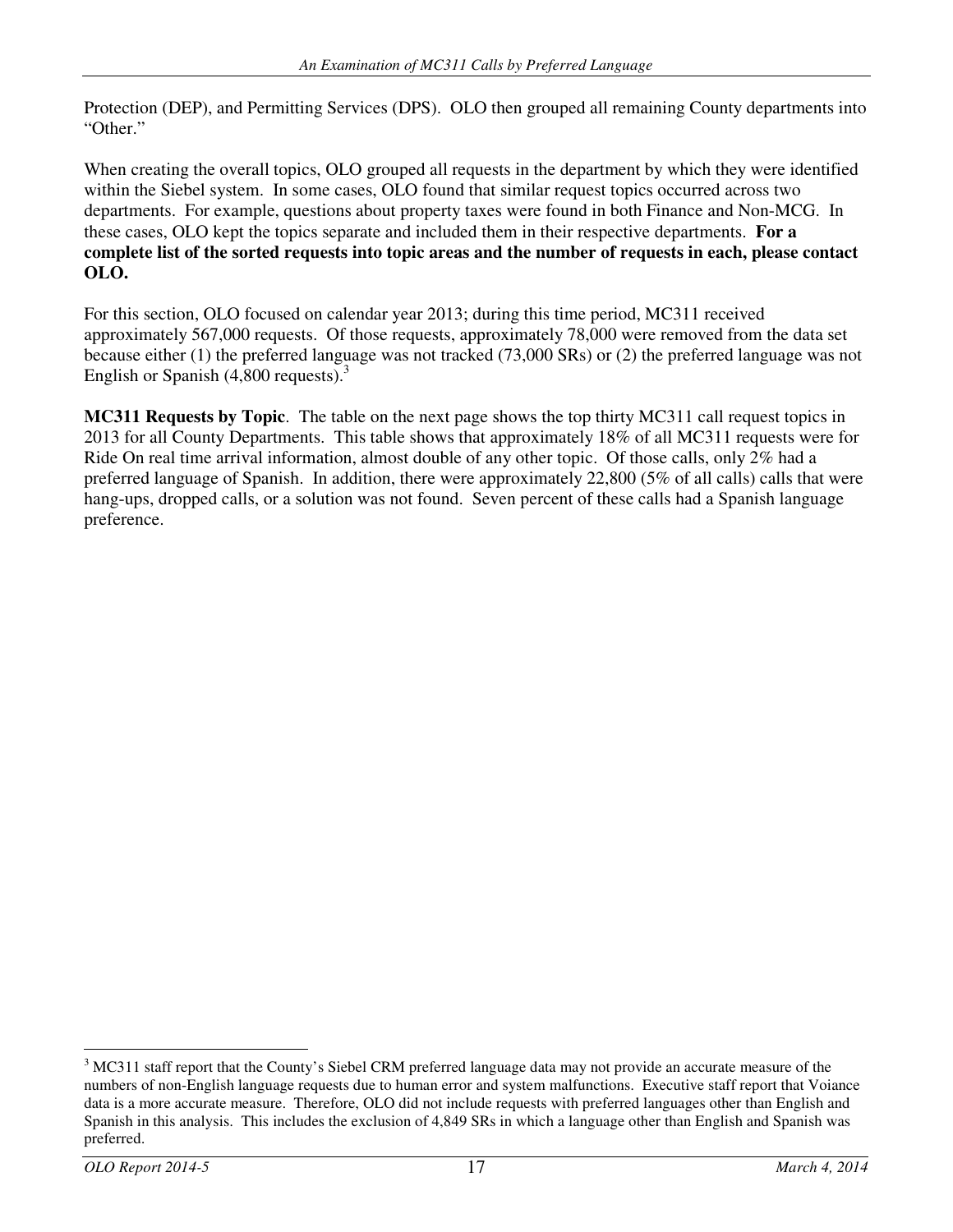Protection (DEP), and Permitting Services (DPS). OLO then grouped all remaining County departments into "Other."

When creating the overall topics, OLO grouped all requests in the department by which they were identified within the Siebel system. In some cases, OLO found that similar request topics occurred across two departments. For example, questions about property taxes were found in both Finance and Non-MCG. In these cases, OLO kept the topics separate and included them in their respective departments. **For a complete list of the sorted requests into topic areas and the number of requests in each, please contact OLO.** 

For this section, OLO focused on calendar year 2013; during this time period, MC311 received approximately 567,000 requests. Of those requests, approximately 78,000 were removed from the data set because either (1) the preferred language was not tracked (73,000 SRs) or (2) the preferred language was not English or Spanish  $(4,800 \text{ requests})$ .<sup>3</sup>

**MC311 Requests by Topic**. The table on the next page shows the top thirty MC311 call request topics in 2013 for all County Departments. This table shows that approximately 18% of all MC311 requests were for Ride On real time arrival information, almost double of any other topic. Of those calls, only 2% had a preferred language of Spanish. In addition, there were approximately 22,800 (5% of all calls) calls that were hang-ups, dropped calls, or a solution was not found. Seven percent of these calls had a Spanish language preference.

-

<sup>&</sup>lt;sup>3</sup> MC311 staff report that the County's Siebel CRM preferred language data may not provide an accurate measure of the numbers of non-English language requests due to human error and system malfunctions. Executive staff report that Voiance data is a more accurate measure. Therefore, OLO did not include requests with preferred languages other than English and Spanish in this analysis. This includes the exclusion of 4,849 SRs in which a language other than English and Spanish was preferred.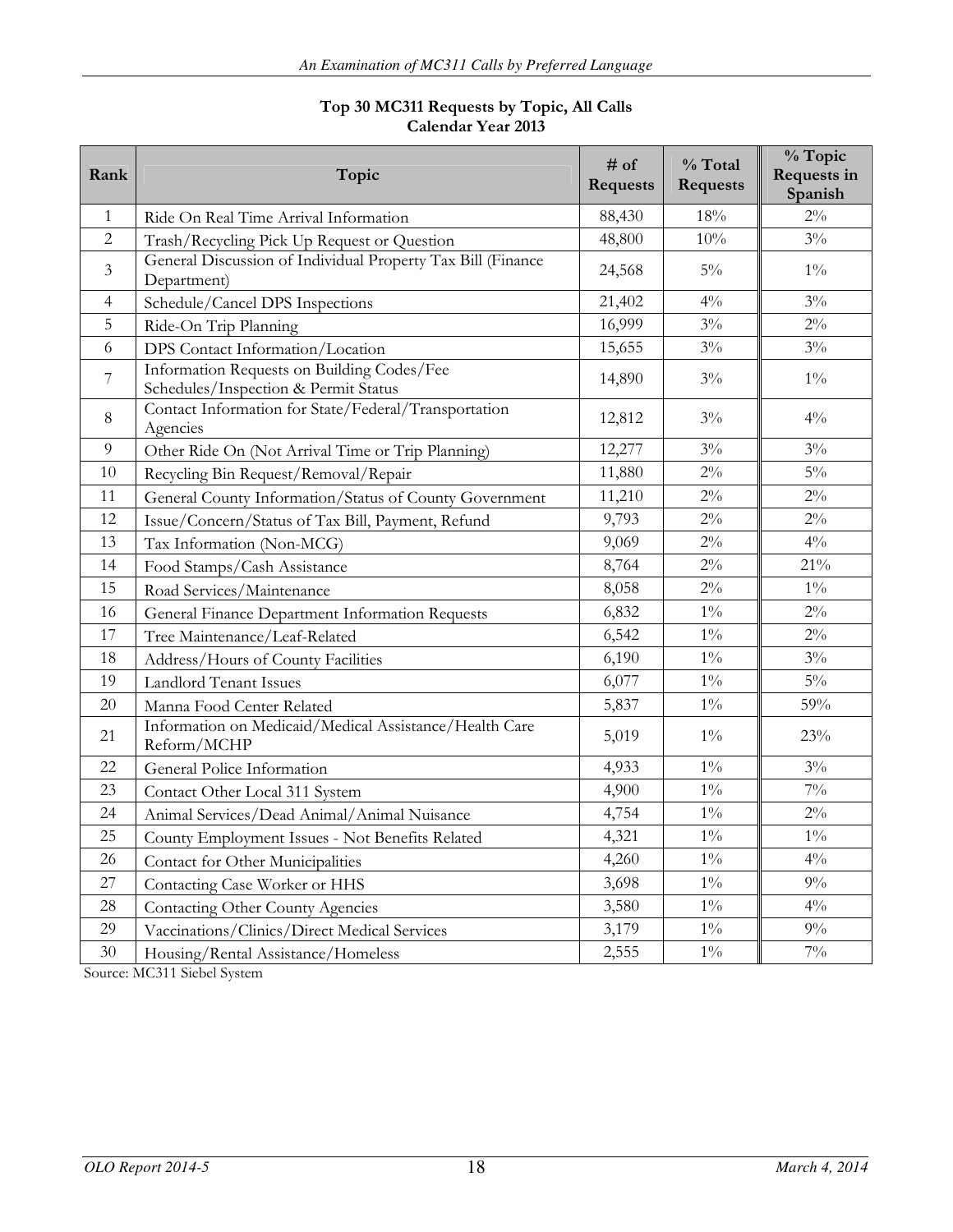#### Top 30 MC311 Requests by Topic, All Calls Calendar Year 2013

| Rank           | Topic                                                                              | # of<br><b>Requests</b> | % Total<br><b>Requests</b> | % Topic<br>Requests in<br>Spanish |
|----------------|------------------------------------------------------------------------------------|-------------------------|----------------------------|-----------------------------------|
| 1              | Ride On Real Time Arrival Information                                              | 88,430                  | 18%                        | $2\%$                             |
| $\overline{2}$ | Trash/Recycling Pick Up Request or Question                                        | 48,800                  | 10%                        | $3\%$                             |
| $\mathfrak{Z}$ | General Discussion of Individual Property Tax Bill (Finance<br>Department)         | 24,568                  | $5\%$                      | $1\%$                             |
| $\overline{4}$ | Schedule/Cancel DPS Inspections                                                    | 21,402                  | $4\%$                      | $3\%$                             |
| 5              | Ride-On Trip Planning                                                              | 16,999                  | $3\%$                      | $2\%$                             |
| 6              | DPS Contact Information/Location                                                   | 15,655                  | $3\%$                      | $3\%$                             |
| 7              | Information Requests on Building Codes/Fee<br>Schedules/Inspection & Permit Status | 14,890                  | $3\%$                      | $1\%$                             |
| 8              | Contact Information for State/Federal/Transportation<br>Agencies                   | 12,812                  | $3\%$                      | $4\%$                             |
| 9              | Other Ride On (Not Arrival Time or Trip Planning)                                  | 12,277                  | $3\%$                      | $3\%$                             |
| 10             | Recycling Bin Request/Removal/Repair                                               | 11,880                  | $2\%$                      | $5\%$                             |
| 11             | General County Information/Status of County Government                             | 11,210                  | $2\%$                      | $2\%$                             |
| 12             | Issue/Concern/Status of Tax Bill, Payment, Refund                                  | 9,793                   | $2\%$                      | $2\%$                             |
| 13             | Tax Information (Non-MCG)                                                          | 9,069                   | $2\%$                      | $4\%$                             |
| 14             | Food Stamps/Cash Assistance                                                        | 8,764                   | $2\%$                      | $21\%$                            |
| 15             | Road Services/Maintenance                                                          | 8,058                   | $2\%$                      | $1\%$                             |
| 16             | General Finance Department Information Requests                                    | 6,832                   | $1\%$                      | $2\%$                             |
| 17             | Tree Maintenance/Leaf-Related                                                      | 6,542                   | $1\%$                      | $2\%$                             |
| 18             | Address/Hours of County Facilities                                                 | 6,190                   | $1\%$                      | $3\%$                             |
| 19             | <b>Landlord Tenant Issues</b>                                                      | 6,077                   | $1\%$                      | $5\%$                             |
| 20             | Manna Food Center Related                                                          | 5,837                   | $1\%$                      | 59%                               |
| 21             | Information on Medicaid/Medical Assistance/Health Care<br>Reform/MCHP              | 5,019                   | $1\%$                      | 23%                               |
| 22             | General Police Information                                                         | 4,933                   | $1\%$                      | $3\%$                             |
| 23             | Contact Other Local 311 System                                                     | 4,900                   | $1\%$                      | $7\%$                             |
| 24             | Animal Services/Dead Animal/Animal Nuisance                                        | 4,754                   | $1\%$                      | $2\%$                             |
| 25             | County Employment Issues - Not Benefits Related                                    | 4,321                   | $1\%$                      | $1\%$                             |
| 26             | Contact for Other Municipalities                                                   | 4,260                   | $1\%$                      | $4\%$                             |
| 27             | Contacting Case Worker or HHS                                                      | 3,698                   | $1\%$                      | $9\%$                             |
| 28             | <b>Contacting Other County Agencies</b>                                            | 3,580                   | $1\%$                      | $4\%$                             |
| 29             | Vaccinations/Clinics/Direct Medical Services                                       | 3,179                   | $1\%$                      | $9\%$                             |
| 30             | Housing/Rental Assistance/Homeless                                                 | 2,555                   | $1\%$                      | $7\%$                             |

Source: MC311 Siebel System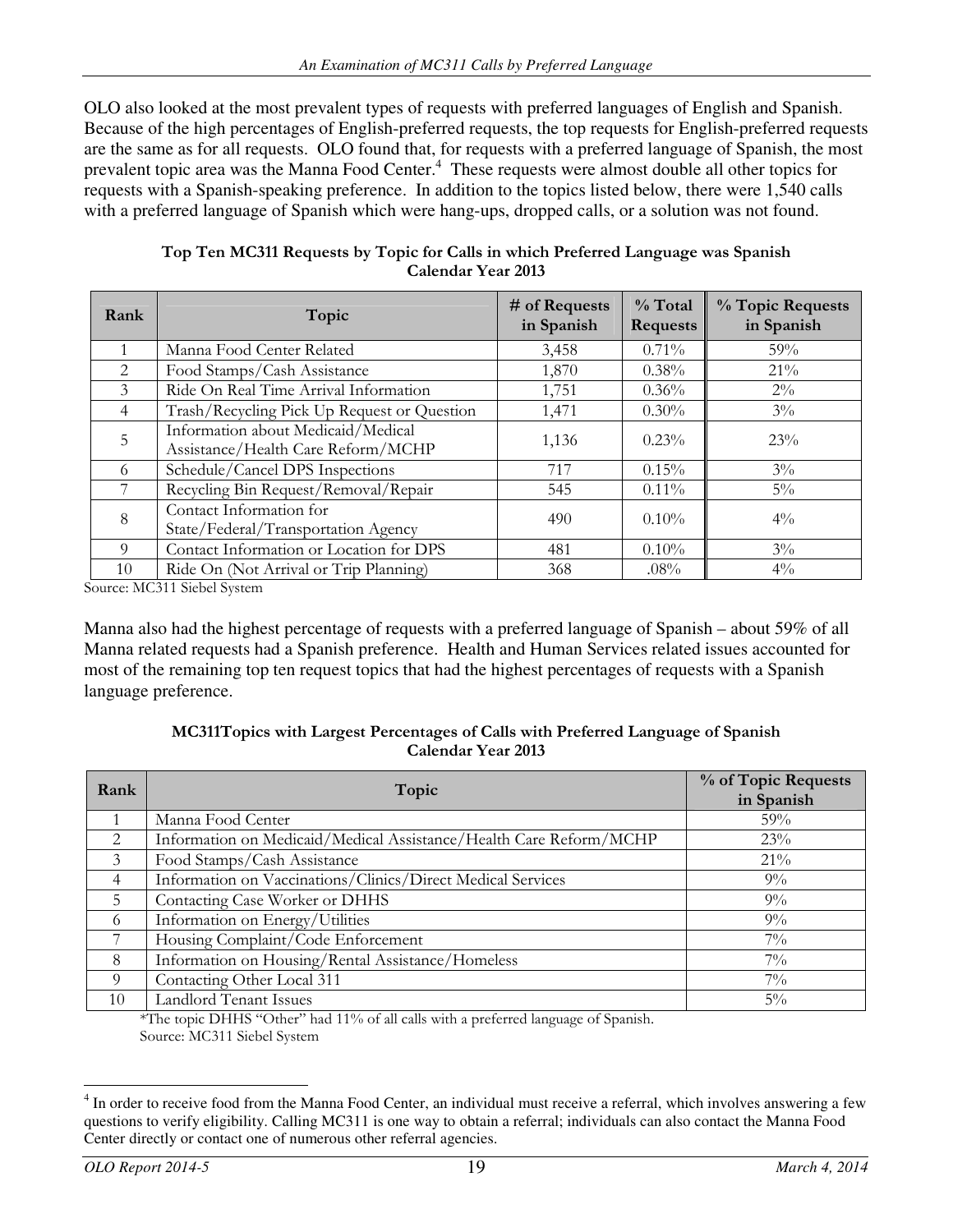OLO also looked at the most prevalent types of requests with preferred languages of English and Spanish. Because of the high percentages of English-preferred requests, the top requests for English-preferred requests are the same as for all requests. OLO found that, for requests with a preferred language of Spanish, the most prevalent topic area was the Manna Food Center.<sup>4</sup> These requests were almost double all other topics for requests with a Spanish-speaking preference. In addition to the topics listed below, there were 1,540 calls with a preferred language of Spanish which were hang-ups, dropped calls, or a solution was not found.

| Rank           | Topic                                                                    | # of Requests<br>in Spanish | $%$ Total<br><b>Requests</b> | % Topic Requests<br>in Spanish |
|----------------|--------------------------------------------------------------------------|-----------------------------|------------------------------|--------------------------------|
|                | Manna Food Center Related                                                | 3,458                       | $0.71\%$                     | 59%                            |
| 2              | Food Stamps/Cash Assistance                                              | 1,870                       | 0.38%                        | 21%                            |
| 3              | Ride On Real Time Arrival Information                                    | 1,751                       | 0.36%                        | $2\%$                          |
| $\overline{4}$ | Trash/Recycling Pick Up Request or Question                              | 1,471                       | $0.30\%$                     | $3\%$                          |
| 5              | Information about Medicaid/Medical<br>Assistance/Health Care Reform/MCHP | 1,136                       | $0.23\%$                     | 23%                            |
| 6              | Schedule/Cancel DPS Inspections                                          | 717                         | 0.15%                        | $3\%$                          |
|                | Recycling Bin Request/Removal/Repair                                     | 545                         | $0.11\%$                     | $5\%$                          |
| 8              | Contact Information for<br>State/Federal/Transportation Agency           | 490                         | $0.10\%$                     | $4\%$                          |
| 9              | Contact Information or Location for DPS                                  | 481                         | $0.10\%$                     | $3\%$                          |
| 10             | Ride On (Not Arrival or Trip Planning)                                   | 368                         | $.08\%$                      | $4\%$                          |

Top Ten MC311 Requests by Topic for Calls in which Preferred Language was Spanish Calendar Year 2013

Source: MC311 Siebel System

Manna also had the highest percentage of requests with a preferred language of Spanish – about 59% of all Manna related requests had a Spanish preference. Health and Human Services related issues accounted for most of the remaining top ten request topics that had the highest percentages of requests with a Spanish language preference.

#### MC311Topics with Largest Percentages of Calls with Preferred Language of Spanish Calendar Year 2013

| Rank           | Topic                                                              | % of Topic Requests<br>in Spanish |
|----------------|--------------------------------------------------------------------|-----------------------------------|
|                | Manna Food Center                                                  | 59%                               |
| 2              | Information on Medicaid/Medical Assistance/Health Care Reform/MCHP | 23%                               |
| 3              | Food Stamps/Cash Assistance                                        | $21\%$                            |
| $\overline{4}$ | Information on Vaccinations/Clinics/Direct Medical Services        | $9\%$                             |
| .5             | Contacting Case Worker or DHHS                                     | $9\%$                             |
| 6              | Information on Energy/Utilities                                    | $9\%$                             |
|                | Housing Complaint/Code Enforcement                                 | $7\%$                             |
| 8              | Information on Housing/Rental Assistance/Homeless                  | $7\%$                             |
| 9              | Contacting Other Local 311                                         | $7\%$                             |
| 10             | <b>Landlord Tenant Issues</b>                                      | $5\%$                             |

\*The topic DHHS "Other" had 11% of all calls with a preferred language of Spanish. Source: MC311 Siebel System

<sup>&</sup>lt;u>.</u> <sup>4</sup> In order to receive food from the Manna Food Center, an individual must receive a referral, which involves answering a few questions to verify eligibility. Calling MC311 is one way to obtain a referral; individuals can also contact the Manna Food Center directly or contact one of numerous other referral agencies.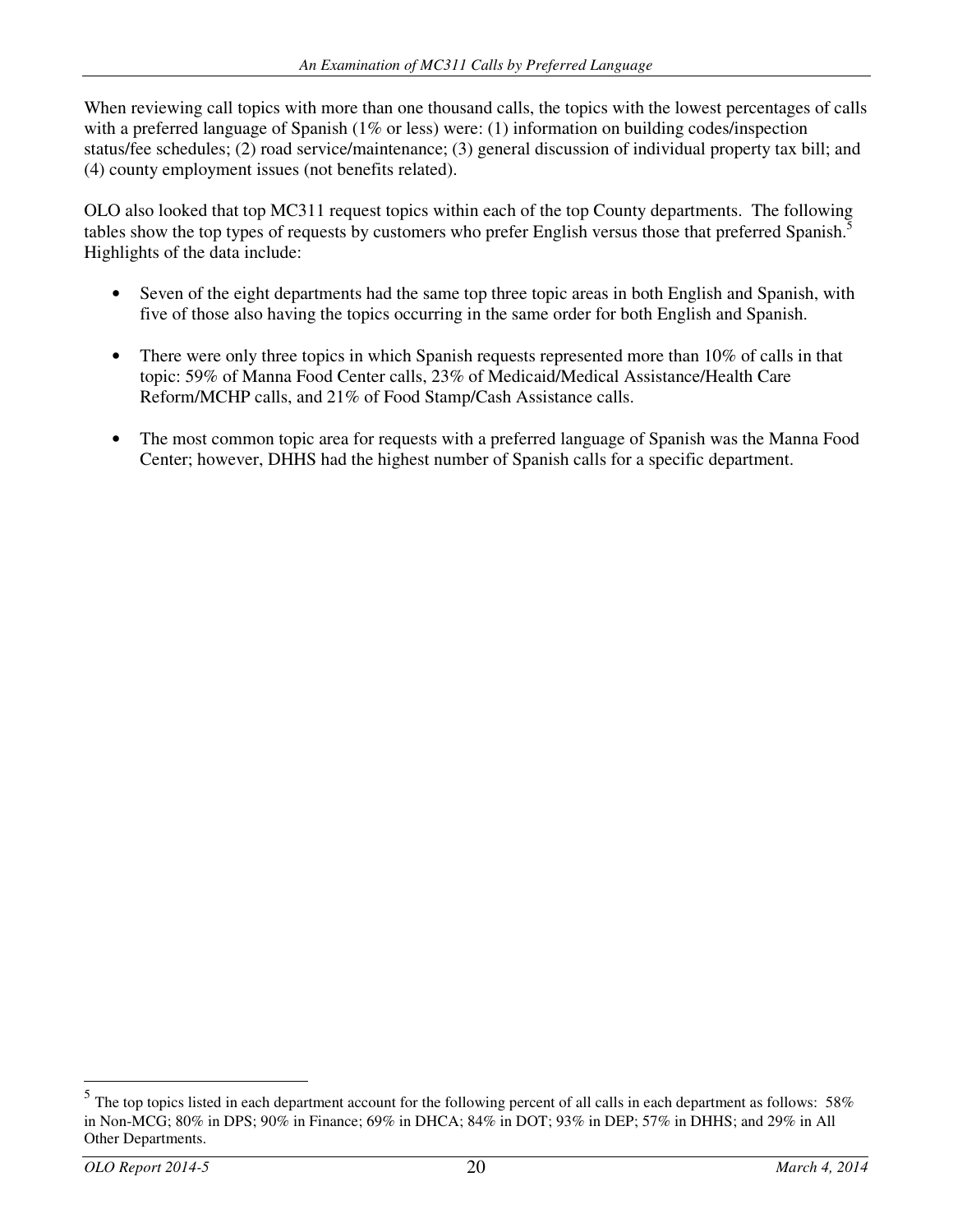When reviewing call topics with more than one thousand calls, the topics with the lowest percentages of calls with a preferred language of Spanish (1% or less) were: (1) information on building codes/inspection status/fee schedules; (2) road service/maintenance; (3) general discussion of individual property tax bill; and (4) county employment issues (not benefits related).

OLO also looked that top MC311 request topics within each of the top County departments. The following tables show the top types of requests by customers who prefer English versus those that preferred Spanish.<sup>5</sup> Highlights of the data include:

- Seven of the eight departments had the same top three topic areas in both English and Spanish, with five of those also having the topics occurring in the same order for both English and Spanish.
- There were only three topics in which Spanish requests represented more than 10% of calls in that topic: 59% of Manna Food Center calls, 23% of Medicaid/Medical Assistance/Health Care Reform/MCHP calls, and 21% of Food Stamp/Cash Assistance calls.
- The most common topic area for requests with a preferred language of Spanish was the Manna Food Center; however, DHHS had the highest number of Spanish calls for a specific department.

 $\frac{5}{100}$  The top topics listed in each department account for the following percent of all calls in each department as follows: 58% in Non-MCG; 80% in DPS; 90% in Finance; 69% in DHCA; 84% in DOT; 93% in DEP; 57% in DHHS; and 29% in All Other Departments.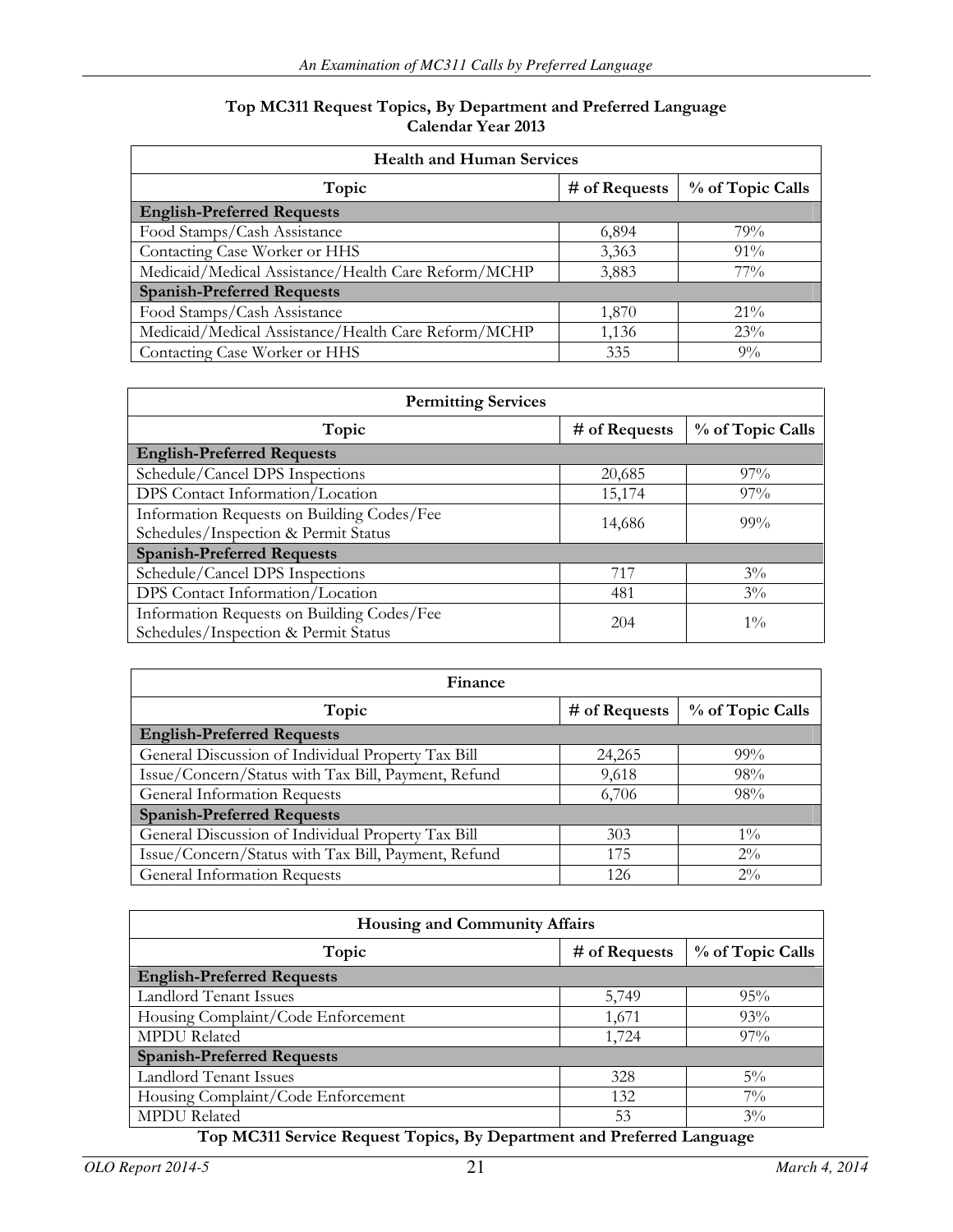#### Top MC311 Request Topics, By Department and Preferred Language Calendar Year 2013

| <b>Health and Human Services</b>                    |               |                  |  |
|-----------------------------------------------------|---------------|------------------|--|
| Topic                                               | # of Requests | % of Topic Calls |  |
| <b>English-Preferred Requests</b>                   |               |                  |  |
| Food Stamps/Cash Assistance                         | 6,894         | 79%              |  |
| Contacting Case Worker or HHS                       | 3,363         | $91\%$           |  |
| Medicaid/Medical Assistance/Health Care Reform/MCHP | 3,883         | $77\%$           |  |
| <b>Spanish-Preferred Requests</b>                   |               |                  |  |
| Food Stamps/Cash Assistance                         | 1,870         | $21\%$           |  |
| Medicaid/Medical Assistance/Health Care Reform/MCHP | 1,136         | 23%              |  |
| Contacting Case Worker or HHS                       | 335           | $9\%$            |  |

| <b>Permitting Services</b>                 |                 |                  |
|--------------------------------------------|-----------------|------------------|
| Topic                                      | $#$ of Requests | % of Topic Calls |
| <b>English-Preferred Requests</b>          |                 |                  |
| Schedule/Cancel DPS Inspections            | 20,685          | $97\%$           |
| DPS Contact Information/Location           | 15,174          | $97\%$           |
| Information Requests on Building Codes/Fee | 14,686          | $99\%$           |
| Schedules/Inspection & Permit Status       |                 |                  |
| <b>Spanish-Preferred Requests</b>          |                 |                  |
| Schedule/Cancel DPS Inspections            | 717             | $3\%$            |
| DPS Contact Information/Location           | 481             | $3\%$            |
| Information Requests on Building Codes/Fee | 204             | $1\%$            |
| Schedules/Inspection & Permit Status       |                 |                  |

| Finance                                             |               |                  |  |
|-----------------------------------------------------|---------------|------------------|--|
| Topic                                               | # of Requests | % of Topic Calls |  |
| <b>English-Preferred Requests</b>                   |               |                  |  |
| General Discussion of Individual Property Tax Bill  | 24,265        | $99\%$           |  |
| Issue/Concern/Status with Tax Bill, Payment, Refund | 9,618         | 98%              |  |
| General Information Requests                        | 6,706         | 98%              |  |
| <b>Spanish-Preferred Requests</b>                   |               |                  |  |
| General Discussion of Individual Property Tax Bill  | 303           | $1\%$            |  |
| Issue/Concern/Status with Tax Bill, Payment, Refund | 175           | $2\%$            |  |
| General Information Requests                        | 126           | $2\%$            |  |

| Housing and Community Affairs      |               |                  |  |  |
|------------------------------------|---------------|------------------|--|--|
| Topic                              | # of Requests | % of Topic Calls |  |  |
| <b>English-Preferred Requests</b>  |               |                  |  |  |
| <b>Landlord Tenant Issues</b>      | 5,749         | $95\%$           |  |  |
| Housing Complaint/Code Enforcement | 1,671         | 93%              |  |  |
| <b>MPDU</b> Related                | 1,724         | $97\%$           |  |  |
| <b>Spanish-Preferred Requests</b>  |               |                  |  |  |
| <b>Landlord Tenant Issues</b>      | 328           | $5\%$            |  |  |
| Housing Complaint/Code Enforcement | 132           | $7\%$            |  |  |
| <b>MPDU</b> Related                | 53            | $3\%$            |  |  |

#### Top MC311 Service Request Topics, By Department and Preferred Language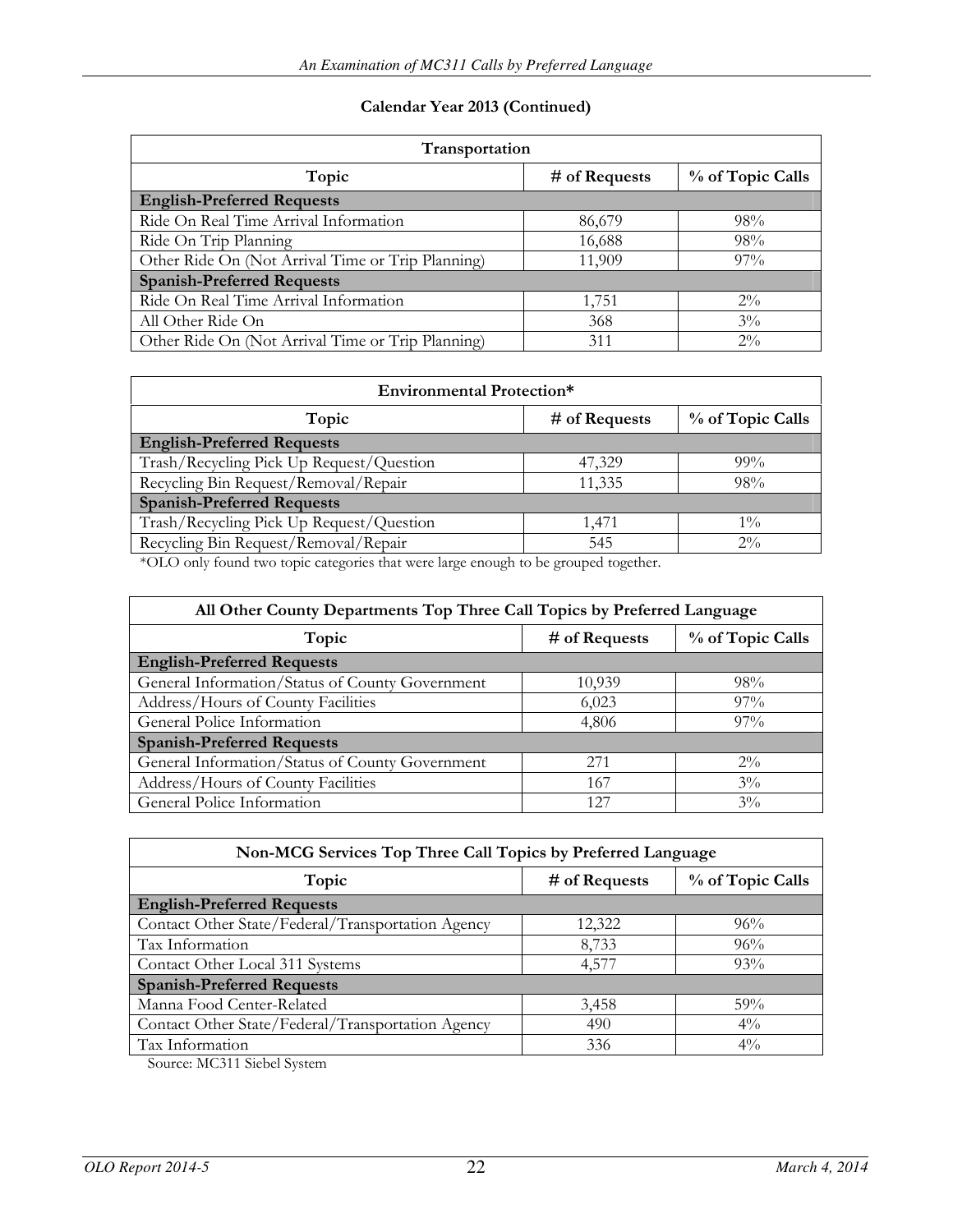#### Calendar Year 2013 (Continued)

| Transportation                                    |               |                  |  |  |
|---------------------------------------------------|---------------|------------------|--|--|
| Topic                                             | # of Requests | % of Topic Calls |  |  |
| <b>English-Preferred Requests</b>                 |               |                  |  |  |
| Ride On Real Time Arrival Information             | 86,679        | 98%              |  |  |
| Ride On Trip Planning                             | 16,688        | 98%              |  |  |
| Other Ride On (Not Arrival Time or Trip Planning) | 11,909        | $97\%$           |  |  |
| <b>Spanish-Preferred Requests</b>                 |               |                  |  |  |
| Ride On Real Time Arrival Information             | 1,751         | $2\%$            |  |  |
| All Other Ride On                                 | 368           | $3\%$            |  |  |
| Other Ride On (Not Arrival Time or Trip Planning) | 311           | $2\%$            |  |  |

| <b>Environmental Protection*</b>         |               |                  |  |  |
|------------------------------------------|---------------|------------------|--|--|
| Topic                                    | # of Requests | % of Topic Calls |  |  |
| <b>English-Preferred Requests</b>        |               |                  |  |  |
| Trash/Recycling Pick Up Request/Question | 47,329        | $99\%$           |  |  |
| Recycling Bin Request/Removal/Repair     | 11,335        | 98%              |  |  |
| <b>Spanish-Preferred Requests</b>        |               |                  |  |  |
| Trash/Recycling Pick Up Request/Question | 1,471         | $1\%$            |  |  |
| Recycling Bin Request/Removal/Repair     | 545           | $2\%$            |  |  |

\*OLO only found two topic categories that were large enough to be grouped together.

| All Other County Departments Top Three Call Topics by Preferred Language |               |                  |  |  |
|--------------------------------------------------------------------------|---------------|------------------|--|--|
| Topic                                                                    | # of Requests | % of Topic Calls |  |  |
| <b>English-Preferred Requests</b>                                        |               |                  |  |  |
| General Information/Status of County Government                          | 10,939        | $98\%$           |  |  |
| Address/Hours of County Facilities                                       | 6,023         | $97\%$           |  |  |
| General Police Information                                               | 4,806         | $97\%$           |  |  |
| <b>Spanish-Preferred Requests</b>                                        |               |                  |  |  |
| General Information/Status of County Government                          | 2.71          | $2\%$            |  |  |
| Address/Hours of County Facilities                                       | 167           | $3\%$            |  |  |
| General Police Information                                               | 127           | $3\%$            |  |  |

| Non-MCG Services Top Three Call Topics by Preferred Language |        |       |  |  |  |
|--------------------------------------------------------------|--------|-------|--|--|--|
| % of Topic Calls<br>Topic<br># of Requests                   |        |       |  |  |  |
| <b>English-Preferred Requests</b>                            |        |       |  |  |  |
| Contact Other State/Federal/Transportation Agency            | 12,322 | 96%   |  |  |  |
| Tax Information                                              | 8,733  | 96%   |  |  |  |
| Contact Other Local 311 Systems                              | 4,577  | 93%   |  |  |  |
| <b>Spanish-Preferred Requests</b>                            |        |       |  |  |  |
| Manna Food Center-Related                                    | 3,458  | 59%   |  |  |  |
| Contact Other State/Federal/Transportation Agency            | 490    | $4\%$ |  |  |  |
| Tax Information                                              | 336    | $4\%$ |  |  |  |

Source: MC311 Siebel System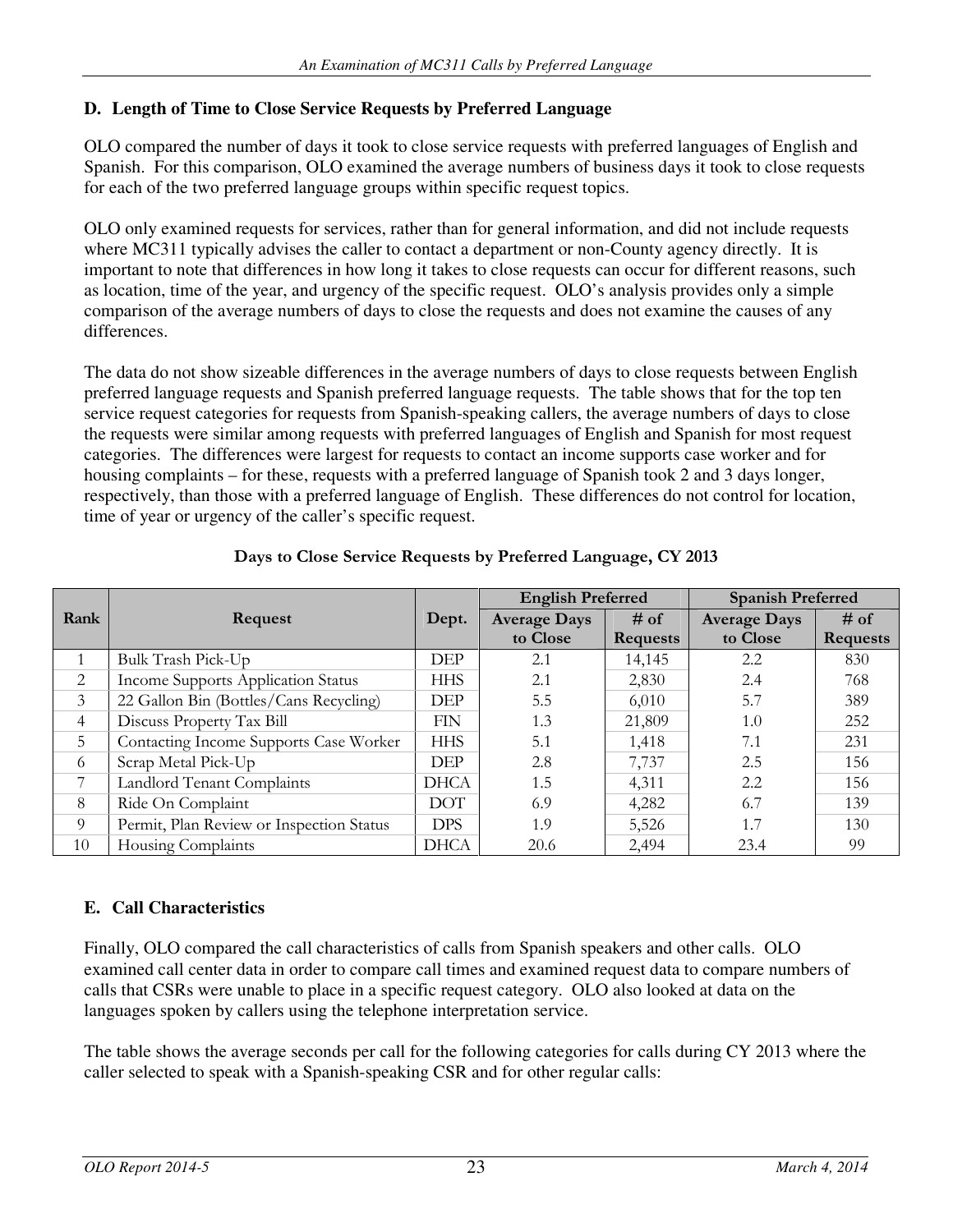## **D. Length of Time to Close Service Requests by Preferred Language**

OLO compared the number of days it took to close service requests with preferred languages of English and Spanish. For this comparison, OLO examined the average numbers of business days it took to close requests for each of the two preferred language groups within specific request topics.

OLO only examined requests for services, rather than for general information, and did not include requests where MC311 typically advises the caller to contact a department or non-County agency directly. It is important to note that differences in how long it takes to close requests can occur for different reasons, such as location, time of the year, and urgency of the specific request. OLO's analysis provides only a simple comparison of the average numbers of days to close the requests and does not examine the causes of any differences.

The data do not show sizeable differences in the average numbers of days to close requests between English preferred language requests and Spanish preferred language requests. The table shows that for the top ten service request categories for requests from Spanish-speaking callers, the average numbers of days to close the requests were similar among requests with preferred languages of English and Spanish for most request categories. The differences were largest for requests to contact an income supports case worker and for housing complaints – for these, requests with a preferred language of Spanish took 2 and 3 days longer, respectively, than those with a preferred language of English. These differences do not control for location, time of year or urgency of the caller's specific request.

|                |                                          |             | <b>English Preferred</b> |                 | <b>Spanish Preferred</b> |                 |
|----------------|------------------------------------------|-------------|--------------------------|-----------------|--------------------------|-----------------|
| Rank           | Request                                  | Dept.       | <b>Average Days</b>      | $#$ of          | <b>Average Days</b>      | $#$ of          |
|                |                                          |             | to Close                 | <b>Requests</b> | to Close                 | <b>Requests</b> |
| -1             | Bulk Trash Pick-Up                       | <b>DEP</b>  | 2.1                      | 14,145          | 2.2                      | 830             |
| 2              | Income Supports Application Status       | <b>HHS</b>  | 2.1                      | 2,830           | 2.4                      | 768             |
| 3              | 22 Gallon Bin (Bottles/Cans Recycling)   | <b>DEP</b>  | 5.5                      | 6.010           | 5.7                      | 389             |
| $\overline{4}$ | Discuss Property Tax Bill                | <b>FIN</b>  | 1.3                      | 21,809          | 1.0                      | 252             |
| 5              | Contacting Income Supports Case Worker   | <b>HHS</b>  | 5.1                      | 1,418           | 7.1                      | 231             |
| 6              | Scrap Metal Pick-Up                      | <b>DEP</b>  | 2.8                      | 7,737           | 2.5                      | 156             |
| 7              | Landlord Tenant Complaints               | <b>DHCA</b> | 1.5                      | 4,311           | 2.2                      | 156             |
| 8              | Ride On Complaint                        | <b>DOT</b>  | 6.9                      | 4,282           | 6.7                      | 139             |
| 9              | Permit, Plan Review or Inspection Status | <b>DPS</b>  | 1.9                      | 5,526           | 1.7                      | 130             |
| 10             | Housing Complaints                       | <b>DHCA</b> | 20.6                     | 2,494           | 23.4                     | 99              |

## Days to Close Service Requests by Preferred Language, CY 2013

## **E. Call Characteristics**

Finally, OLO compared the call characteristics of calls from Spanish speakers and other calls. OLO examined call center data in order to compare call times and examined request data to compare numbers of calls that CSRs were unable to place in a specific request category. OLO also looked at data on the languages spoken by callers using the telephone interpretation service.

The table shows the average seconds per call for the following categories for calls during CY 2013 where the caller selected to speak with a Spanish-speaking CSR and for other regular calls: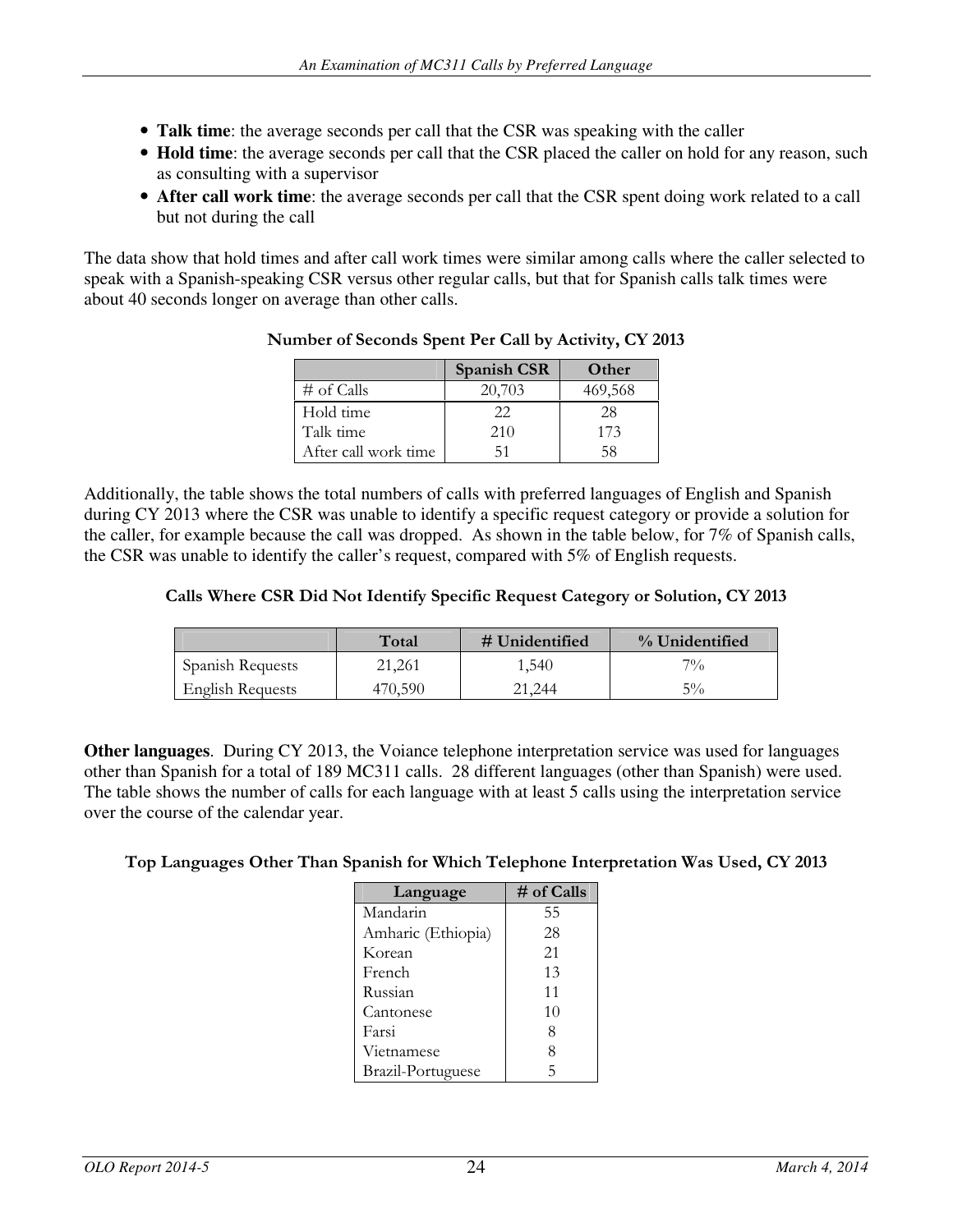- **Talk time**: the average seconds per call that the CSR was speaking with the caller
- **Hold time**: the average seconds per call that the CSR placed the caller on hold for any reason, such as consulting with a supervisor
- **After call work time**: the average seconds per call that the CSR spent doing work related to a call but not during the call

The data show that hold times and after call work times were similar among calls where the caller selected to speak with a Spanish-speaking CSR versus other regular calls, but that for Spanish calls talk times were about 40 seconds longer on average than other calls.

|                      | <b>Spanish CSR</b> | Other   |
|----------------------|--------------------|---------|
| $#$ of Calls         | 20,703             | 469,568 |
| Hold time            | フフ                 | 28      |
| Talk time            | 210                | 173     |
| After call work time | 51                 | 58      |

#### Number of Seconds Spent Per Call by Activity, CY 2013

Additionally, the table shows the total numbers of calls with preferred languages of English and Spanish during CY 2013 where the CSR was unable to identify a specific request category or provide a solution for the caller, for example because the call was dropped. As shown in the table below, for 7% of Spanish calls, the CSR was unable to identify the caller's request, compared with 5% of English requests.

#### Calls Where CSR Did Not Identify Specific Request Category or Solution, CY 2013

|                  | Total   | $#$ Unidentified | % Unidentified |
|------------------|---------|------------------|----------------|
| Spanish Requests | 21,261  | 1,540            | $7\%$          |
| English Requests | 470.590 | 21.244           | $5\%$          |

**Other languages**. During CY 2013, the Voiance telephone interpretation service was used for languages other than Spanish for a total of 189 MC311 calls. 28 different languages (other than Spanish) were used. The table shows the number of calls for each language with at least 5 calls using the interpretation service over the course of the calendar year.

#### Top Languages Other Than Spanish for Which Telephone Interpretation Was Used, CY 2013

| Language           | # of Calls |
|--------------------|------------|
| Mandarin           | 55         |
| Amharic (Ethiopia) | 28         |
| Korean             | 21         |
| French             | 13         |
| Russian            | 11         |
| Cantonese          | 10         |
| Farsi              | 8          |
| Vietnamese         | 8          |
| Brazil-Portuguese  | 5          |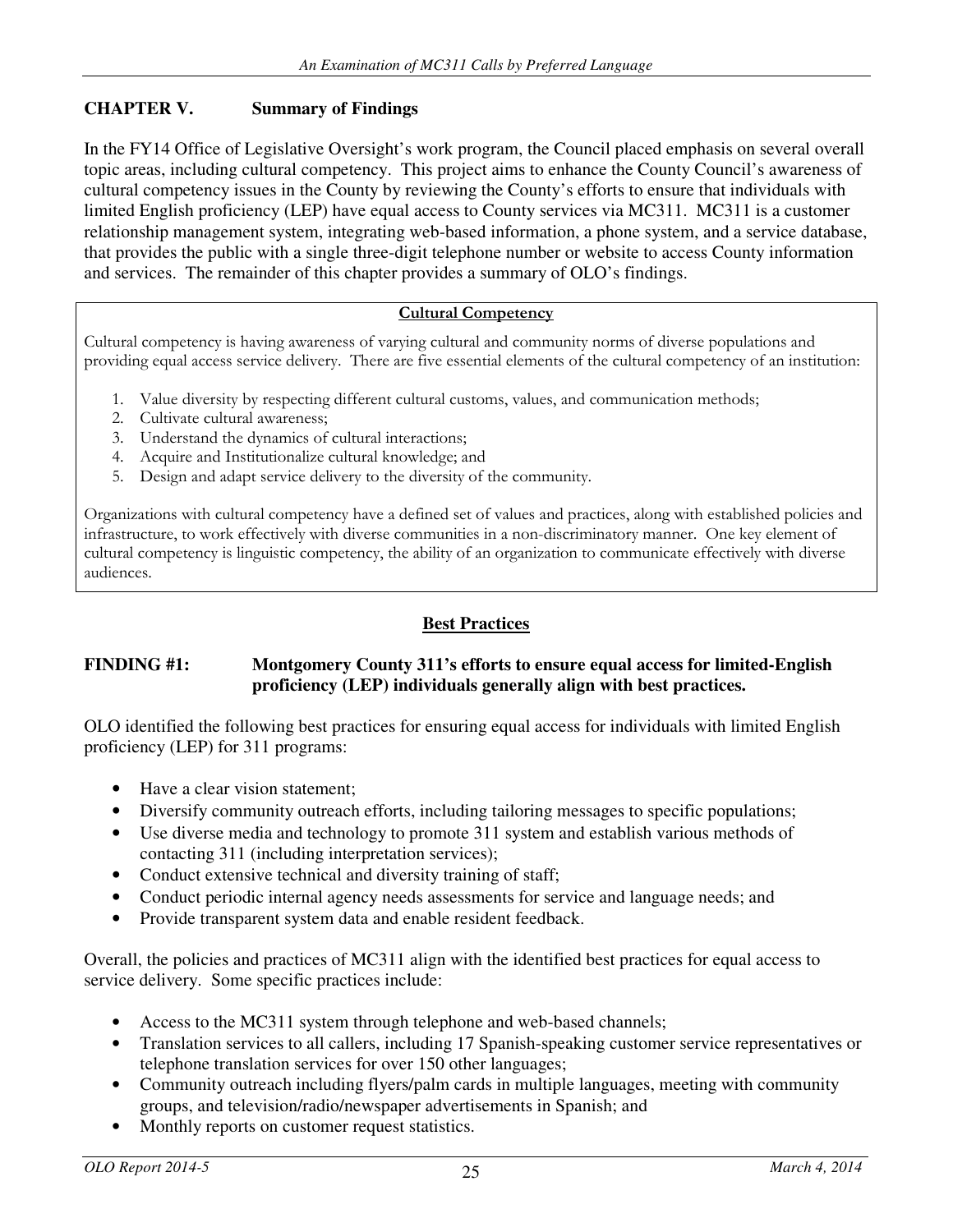## **CHAPTER V. Summary of Findings**

In the FY14 Office of Legislative Oversight's work program, the Council placed emphasis on several overall topic areas, including cultural competency. This project aims to enhance the County Council's awareness of cultural competency issues in the County by reviewing the County's efforts to ensure that individuals with limited English proficiency (LEP) have equal access to County services via MC311. MC311 is a customer relationship management system, integrating web-based information, a phone system, and a service database, that provides the public with a single three-digit telephone number or website to access County information and services. The remainder of this chapter provides a summary of OLO's findings.

#### Cultural Competency

Cultural competency is having awareness of varying cultural and community norms of diverse populations and providing equal access service delivery. There are five essential elements of the cultural competency of an institution:

- 1. Value diversity by respecting different cultural customs, values, and communication methods;
- 2. Cultivate cultural awareness;
- 3. Understand the dynamics of cultural interactions;
- 4. Acquire and Institutionalize cultural knowledge; and
- 5. Design and adapt service delivery to the diversity of the community.

Organizations with cultural competency have a defined set of values and practices, along with established policies and infrastructure, to work effectively with diverse communities in a non-discriminatory manner. One key element of cultural competency is linguistic competency, the ability of an organization to communicate effectively with diverse audiences.

### **Best Practices**

#### **FINDING #1: Montgomery County 311's efforts to ensure equal access for limited-English proficiency (LEP) individuals generally align with best practices.**

OLO identified the following best practices for ensuring equal access for individuals with limited English proficiency (LEP) for 311 programs:

- Have a clear vision statement;
- Diversify community outreach efforts, including tailoring messages to specific populations;
- Use diverse media and technology to promote 311 system and establish various methods of contacting 311 (including interpretation services);
- Conduct extensive technical and diversity training of staff;
- Conduct periodic internal agency needs assessments for service and language needs; and
- Provide transparent system data and enable resident feedback.

Overall, the policies and practices of MC311 align with the identified best practices for equal access to service delivery. Some specific practices include:

- Access to the MC311 system through telephone and web-based channels;
- Translation services to all callers, including 17 Spanish-speaking customer service representatives or telephone translation services for over 150 other languages;
- Community outreach including flyers/palm cards in multiple languages, meeting with community groups, and television/radio/newspaper advertisements in Spanish; and
- Monthly reports on customer request statistics.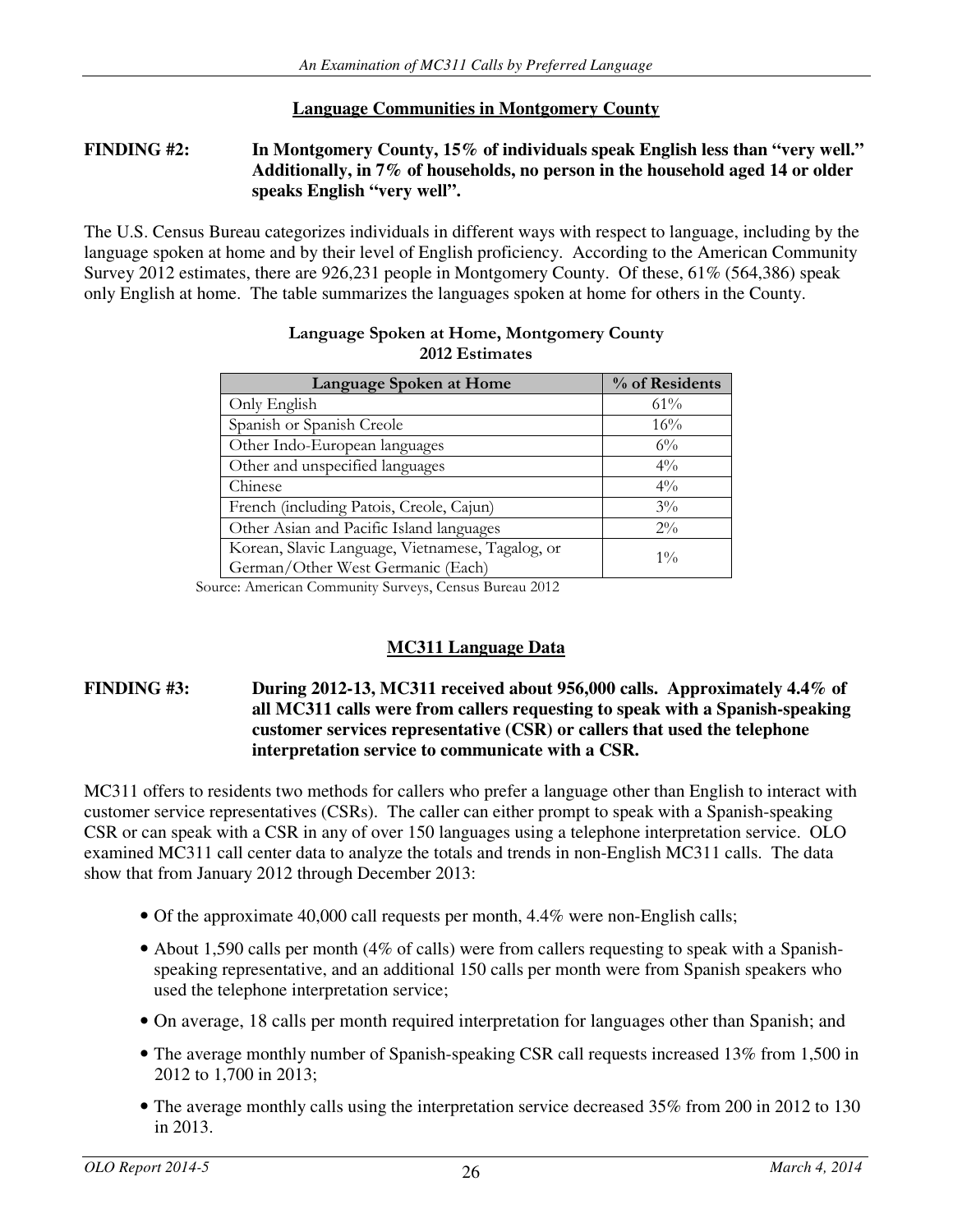## **Language Communities in Montgomery County**

#### **FINDING #2: In Montgomery County, 15% of individuals speak English less than "very well." Additionally, in 7% of households, no person in the household aged 14 or older speaks English "very well".**

The U.S. Census Bureau categorizes individuals in different ways with respect to language, including by the language spoken at home and by their level of English proficiency. According to the American Community Survey 2012 estimates, there are 926,231 people in Montgomery County. Of these, 61% (564,386) speak only English at home. The table summarizes the languages spoken at home for others in the County.

| Language Spoken at Home                                                               | % of Residents |
|---------------------------------------------------------------------------------------|----------------|
| Only English                                                                          | 61%            |
| Spanish or Spanish Creole                                                             | 16%            |
| Other Indo-European languages                                                         | $6\%$          |
| Other and unspecified languages                                                       | $4\%$          |
| Chinese                                                                               | $4\%$          |
| French (including Patois, Creole, Cajun)                                              | $3\%$          |
| Other Asian and Pacific Island languages                                              | $2\%$          |
| Korean, Slavic Language, Vietnamese, Tagalog, or<br>German/Other West Germanic (Each) | $1\%$          |

## Language Spoken at Home, Montgomery County 2012 Estimates

Source: American Community Surveys, Census Bureau 2012

### **MC311 Language Data**

#### **FINDING #3: During 2012-13, MC311 received about 956,000 calls. Approximately 4.4% of all MC311 calls were from callers requesting to speak with a Spanish-speaking customer services representative (CSR) or callers that used the telephone interpretation service to communicate with a CSR.**

MC311 offers to residents two methods for callers who prefer a language other than English to interact with customer service representatives (CSRs). The caller can either prompt to speak with a Spanish-speaking CSR or can speak with a CSR in any of over 150 languages using a telephone interpretation service. OLO examined MC311 call center data to analyze the totals and trends in non-English MC311 calls. The data show that from January 2012 through December 2013:

- Of the approximate 40,000 call requests per month, 4.4% were non-English calls;
- About 1,590 calls per month (4% of calls) were from callers requesting to speak with a Spanishspeaking representative, and an additional 150 calls per month were from Spanish speakers who used the telephone interpretation service;
- On average, 18 calls per month required interpretation for languages other than Spanish; and
- The average monthly number of Spanish-speaking CSR call requests increased 13% from 1,500 in 2012 to 1,700 in 2013;
- The average monthly calls using the interpretation service decreased 35% from 200 in 2012 to 130 in 2013.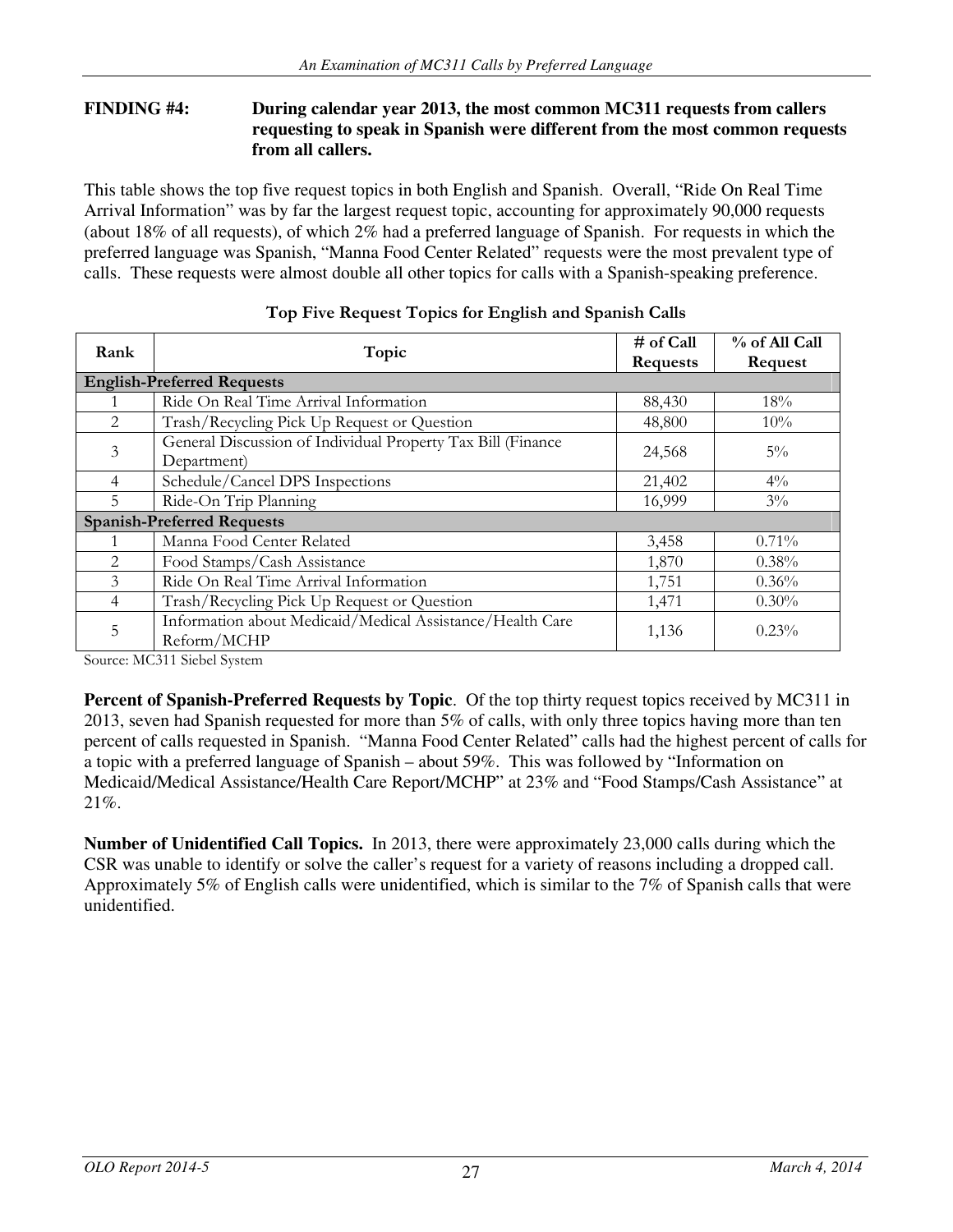#### **FINDING #4: During calendar year 2013, the most common MC311 requests from callers requesting to speak in Spanish were different from the most common requests from all callers.**

This table shows the top five request topics in both English and Spanish. Overall, "Ride On Real Time Arrival Information" was by far the largest request topic, accounting for approximately 90,000 requests (about 18% of all requests), of which 2% had a preferred language of Spanish. For requests in which the preferred language was Spanish, "Manna Food Center Related" requests were the most prevalent type of calls. These requests were almost double all other topics for calls with a Spanish-speaking preference.

| Rank                              | Topic                                                                      | # of Call<br><b>Requests</b> | % of All Call<br>Request |  |
|-----------------------------------|----------------------------------------------------------------------------|------------------------------|--------------------------|--|
| <b>English-Preferred Requests</b> |                                                                            |                              |                          |  |
|                                   | Ride On Real Time Arrival Information                                      | 88,430                       | 18%                      |  |
| $\mathfrak{D}_{\mathfrak{p}}$     | Trash/Recycling Pick Up Request or Question                                | 48,800                       | 10%                      |  |
| 3                                 | General Discussion of Individual Property Tax Bill (Finance<br>Department) | 24,568                       | $5\%$                    |  |
| 4                                 | Schedule/Cancel DPS Inspections                                            | 21,402                       | $4\%$                    |  |
| 5.                                | Ride-On Trip Planning                                                      | 16,999                       | $3\%$                    |  |
| <b>Spanish-Preferred Requests</b> |                                                                            |                              |                          |  |
|                                   | Manna Food Center Related                                                  | 3,458                        | $0.71\%$                 |  |
| 2                                 | Food Stamps/Cash Assistance                                                | 1,870                        | $0.38\%$                 |  |
| 3                                 | Ride On Real Time Arrival Information                                      | 1,751                        | 0.36%                    |  |
| 4                                 | Trash/Recycling Pick Up Request or Question                                | 1,471                        | $0.30\%$                 |  |
| 5                                 | Information about Medicaid/Medical Assistance/Health Care<br>Reform/MCHP   | 1,136                        | 0.23%                    |  |

### Top Five Request Topics for English and Spanish Calls

Source: MC311 Siebel System

**Percent of Spanish-Preferred Requests by Topic**. Of the top thirty request topics received by MC311 in 2013, seven had Spanish requested for more than 5% of calls, with only three topics having more than ten percent of calls requested in Spanish. "Manna Food Center Related" calls had the highest percent of calls for a topic with a preferred language of Spanish – about 59%. This was followed by "Information on Medicaid/Medical Assistance/Health Care Report/MCHP" at 23% and "Food Stamps/Cash Assistance" at 21%.

**Number of Unidentified Call Topics.** In 2013, there were approximately 23,000 calls during which the CSR was unable to identify or solve the caller's request for a variety of reasons including a dropped call. Approximately 5% of English calls were unidentified, which is similar to the 7% of Spanish calls that were unidentified.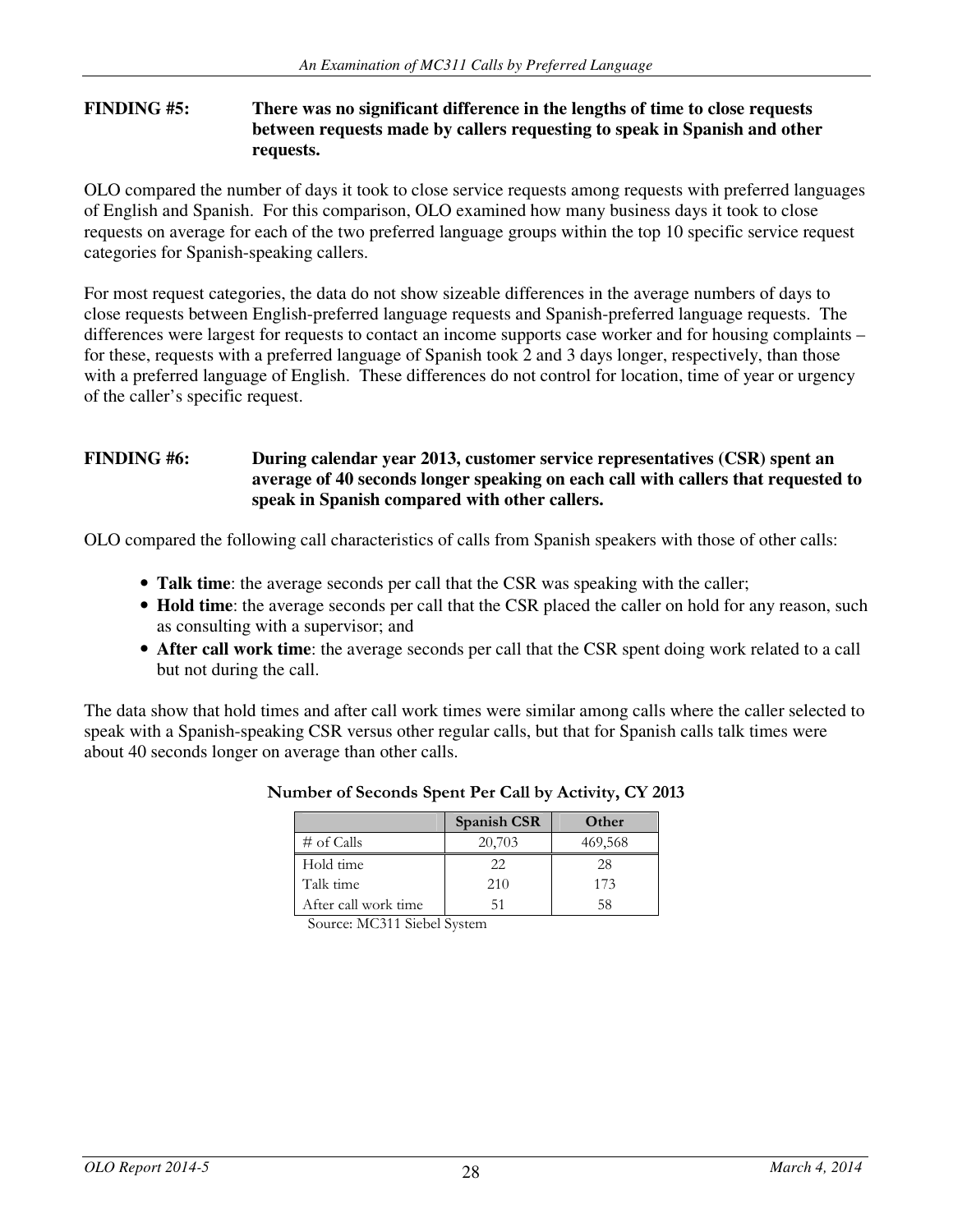#### **FINDING #5: There was no significant difference in the lengths of time to close requests between requests made by callers requesting to speak in Spanish and other requests.**

OLO compared the number of days it took to close service requests among requests with preferred languages of English and Spanish. For this comparison, OLO examined how many business days it took to close requests on average for each of the two preferred language groups within the top 10 specific service request categories for Spanish-speaking callers.

For most request categories, the data do not show sizeable differences in the average numbers of days to close requests between English-preferred language requests and Spanish-preferred language requests. The differences were largest for requests to contact an income supports case worker and for housing complaints – for these, requests with a preferred language of Spanish took 2 and 3 days longer, respectively, than those with a preferred language of English. These differences do not control for location, time of year or urgency of the caller's specific request.

#### **FINDING #6: During calendar year 2013, customer service representatives (CSR) spent an average of 40 seconds longer speaking on each call with callers that requested to speak in Spanish compared with other callers.**

OLO compared the following call characteristics of calls from Spanish speakers with those of other calls:

- **Talk time**: the average seconds per call that the CSR was speaking with the caller;
- **Hold time**: the average seconds per call that the CSR placed the caller on hold for any reason, such as consulting with a supervisor; and
- **After call work time**: the average seconds per call that the CSR spent doing work related to a call but not during the call.

The data show that hold times and after call work times were similar among calls where the caller selected to speak with a Spanish-speaking CSR versus other regular calls, but that for Spanish calls talk times were about 40 seconds longer on average than other calls.

|                      | <b>Spanish CSR</b> | Other   |
|----------------------|--------------------|---------|
| $\#$ of Calls        | 20,703             | 469,568 |
| Hold time            | 22                 | 28      |
| Talk time            | 210                | 173     |
| After call work time | 51                 | 58      |

### Number of Seconds Spent Per Call by Activity, CY 2013

Source: MC311 Siebel System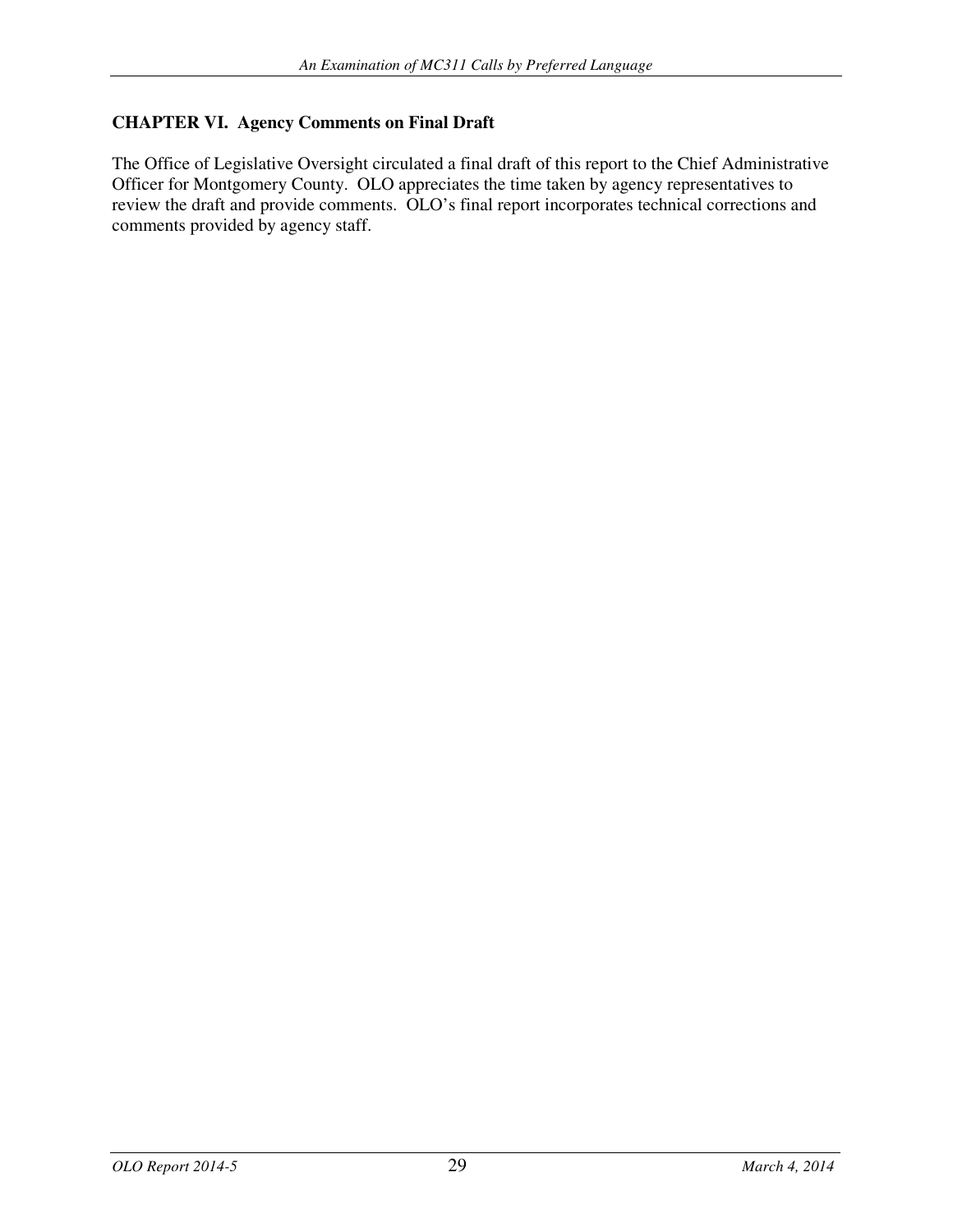## **CHAPTER VI. Agency Comments on Final Draft**

The Office of Legislative Oversight circulated a final draft of this report to the Chief Administrative Officer for Montgomery County. OLO appreciates the time taken by agency representatives to review the draft and provide comments. OLO's final report incorporates technical corrections and comments provided by agency staff.